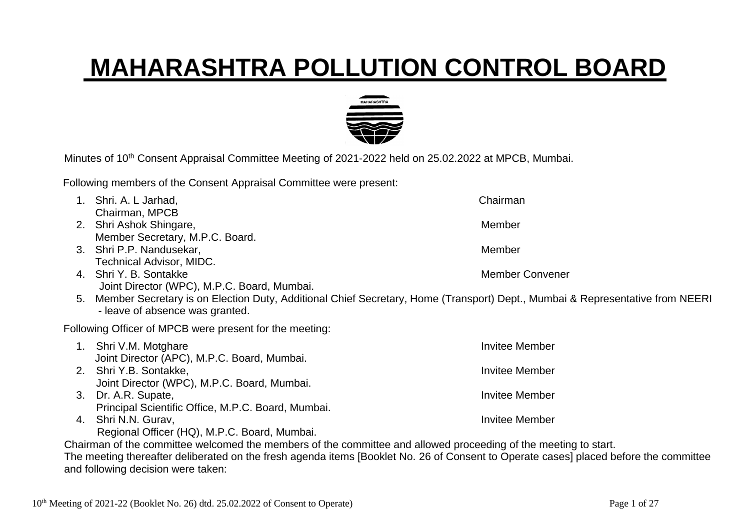## **MAHARASHTRA POLLUTION CONTROL BOARD**



Minutes of 10<sup>th</sup> Consent Appraisal Committee Meeting of 2021-2022 held on 25.02.2022 at MPCB, Mumbai.

Following members of the Consent Appraisal Committee were present:

| $1_{\cdot}$ | Shri. A. L Jarhad,                                                                                                                    | Chairman              |
|-------------|---------------------------------------------------------------------------------------------------------------------------------------|-----------------------|
|             | Chairman, MPCB                                                                                                                        |                       |
|             | 2. Shri Ashok Shingare,                                                                                                               | Member                |
|             | Member Secretary, M.P.C. Board.                                                                                                       |                       |
|             | 3. Shri P.P. Nandusekar,                                                                                                              | Member                |
|             | <b>Technical Advisor, MIDC.</b>                                                                                                       |                       |
|             | 4. Shri Y. B. Sontakke                                                                                                                | Member Convener       |
|             | Joint Director (WPC), M.P.C. Board, Mumbai.                                                                                           |                       |
| 5.          | Member Secretary is on Election Duty, Additional Chief Secretary, Home (Transport) Dept., Mumbai & Representative from NEERI          |                       |
|             | - leave of absence was granted.                                                                                                       |                       |
|             | Following Officer of MPCB were present for the meeting:                                                                               |                       |
|             | 1. Shri V.M. Motghare                                                                                                                 | <b>Invitee Member</b> |
|             | Joint Director (APC), M.P.C. Board, Mumbai.                                                                                           |                       |
|             | 2. Shri Y.B. Sontakke,                                                                                                                | <b>Invitee Member</b> |
|             | Joint Director (WPC), M.P.C. Board, Mumbai.                                                                                           |                       |
|             | 3. Dr. A.R. Supate,                                                                                                                   | <b>Invitee Member</b> |
|             | Principal Scientific Office, M.P.C. Board, Mumbai.                                                                                    |                       |
| 4.          | Shri N.N. Gurav,                                                                                                                      | <b>Invitee Member</b> |
|             | Regional Officer (HQ), M.P.C. Board, Mumbai.                                                                                          |                       |
|             | Chairman of the committee welcomed the members of the committee and allowed proceeding of the meeting to start.                       |                       |
|             | The meeting thereafter deliberated on the fresh agenda items [Booklet No. 26 of Consent to Operate cases] placed before the committee |                       |

and following decision were taken: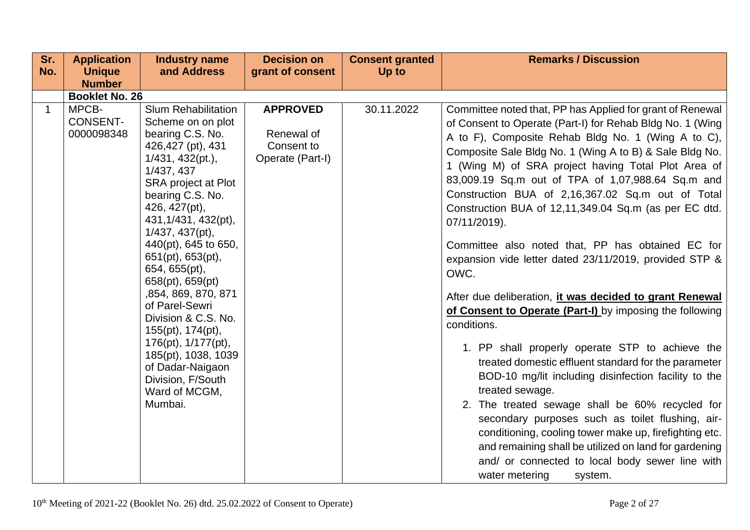| Sr.          | <b>Application</b>                     | <b>Industry name</b>                                                                                                                                                                                                                                                                                                                                                                                                                                                                                                        | <b>Decision on</b>                                              | <b>Consent granted</b> | <b>Remarks / Discussion</b>                                                                                                                                                                                                                                                                                                                                                                                                                                                                                                                                                                                                                                                                                                                                                                                                                                                                                                                                                                                                                                                                                                                                                                                                                    |
|--------------|----------------------------------------|-----------------------------------------------------------------------------------------------------------------------------------------------------------------------------------------------------------------------------------------------------------------------------------------------------------------------------------------------------------------------------------------------------------------------------------------------------------------------------------------------------------------------------|-----------------------------------------------------------------|------------------------|------------------------------------------------------------------------------------------------------------------------------------------------------------------------------------------------------------------------------------------------------------------------------------------------------------------------------------------------------------------------------------------------------------------------------------------------------------------------------------------------------------------------------------------------------------------------------------------------------------------------------------------------------------------------------------------------------------------------------------------------------------------------------------------------------------------------------------------------------------------------------------------------------------------------------------------------------------------------------------------------------------------------------------------------------------------------------------------------------------------------------------------------------------------------------------------------------------------------------------------------|
| No.          | <b>Unique</b>                          | and Address                                                                                                                                                                                                                                                                                                                                                                                                                                                                                                                 | grant of consent                                                | Up to                  |                                                                                                                                                                                                                                                                                                                                                                                                                                                                                                                                                                                                                                                                                                                                                                                                                                                                                                                                                                                                                                                                                                                                                                                                                                                |
|              | <b>Number</b>                          |                                                                                                                                                                                                                                                                                                                                                                                                                                                                                                                             |                                                                 |                        |                                                                                                                                                                                                                                                                                                                                                                                                                                                                                                                                                                                                                                                                                                                                                                                                                                                                                                                                                                                                                                                                                                                                                                                                                                                |
|              | <b>Booklet No. 26</b>                  |                                                                                                                                                                                                                                                                                                                                                                                                                                                                                                                             |                                                                 |                        |                                                                                                                                                                                                                                                                                                                                                                                                                                                                                                                                                                                                                                                                                                                                                                                                                                                                                                                                                                                                                                                                                                                                                                                                                                                |
| $\mathbf{1}$ | MPCB-<br><b>CONSENT-</b><br>0000098348 | <b>Slum Rehabilitation</b><br>Scheme on on plot<br>bearing C.S. No.<br>426,427 (pt), 431<br>1/431, 432(pt.),<br>1/437, 437<br>SRA project at Plot<br>bearing C.S. No.<br>426, 427(pt),<br>431, 1/431, 432(pt),<br>1/437, 437(pt),<br>440(pt), 645 to 650,<br>651(pt), 653(pt),<br>654, 655(pt),<br>658(pt), 659(pt)<br>,854, 869, 870, 871<br>of Parel-Sewri<br>Division & C.S. No.<br>155(pt), 174(pt),<br>176(pt), 1/177(pt),<br>185(pt), 1038, 1039<br>of Dadar-Naigaon<br>Division, F/South<br>Ward of MCGM,<br>Mumbai. | <b>APPROVED</b><br>Renewal of<br>Consent to<br>Operate (Part-I) | 30.11.2022             | Committee noted that, PP has Applied for grant of Renewal<br>of Consent to Operate (Part-I) for Rehab Bldg No. 1 (Wing<br>A to F), Composite Rehab Bldg No. 1 (Wing A to C),<br>Composite Sale Bldg No. 1 (Wing A to B) & Sale Bldg No.<br>1 (Wing M) of SRA project having Total Plot Area of<br>83,009.19 Sq.m out of TPA of 1,07,988.64 Sq.m and<br>Construction BUA of 2,16,367.02 Sq.m out of Total<br>Construction BUA of 12,11,349.04 Sq.m (as per EC dtd.<br>07/11/2019).<br>Committee also noted that, PP has obtained EC for<br>expansion vide letter dated 23/11/2019, provided STP &<br>OWC.<br>After due deliberation, it was decided to grant Renewal<br>of Consent to Operate (Part-I) by imposing the following<br>conditions.<br>1. PP shall properly operate STP to achieve the<br>treated domestic effluent standard for the parameter<br>BOD-10 mg/lit including disinfection facility to the<br>treated sewage.<br>2. The treated sewage shall be 60% recycled for<br>secondary purposes such as toilet flushing, air-<br>conditioning, cooling tower make up, firefighting etc.<br>and remaining shall be utilized on land for gardening<br>and/ or connected to local body sewer line with<br>water metering<br>system. |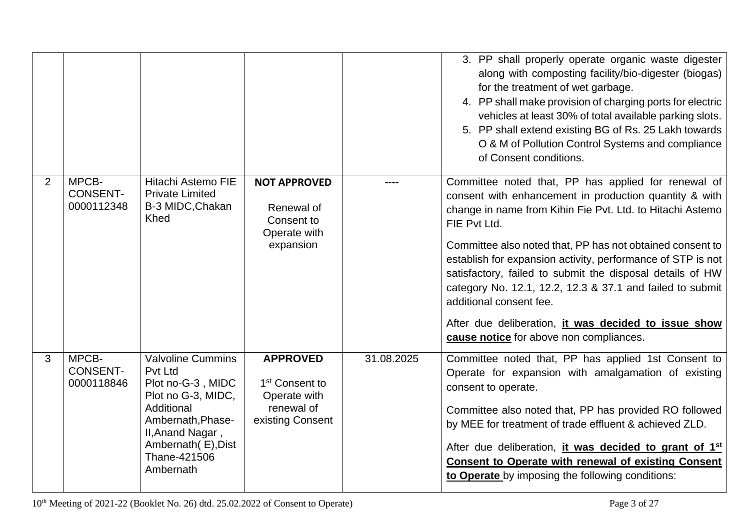|   |                                        |                                                                                                                                                                                                 |                                                                                                 |            | 3. PP shall properly operate organic waste digester<br>along with composting facility/bio-digester (biogas)<br>for the treatment of wet garbage.<br>4. PP shall make provision of charging ports for electric<br>vehicles at least 30% of total available parking slots.<br>5. PP shall extend existing BG of Rs. 25 Lakh towards<br>O & M of Pollution Control Systems and compliance<br>of Consent conditions.                                                                                                                                                               |
|---|----------------------------------------|-------------------------------------------------------------------------------------------------------------------------------------------------------------------------------------------------|-------------------------------------------------------------------------------------------------|------------|--------------------------------------------------------------------------------------------------------------------------------------------------------------------------------------------------------------------------------------------------------------------------------------------------------------------------------------------------------------------------------------------------------------------------------------------------------------------------------------------------------------------------------------------------------------------------------|
| 2 | MPCB-<br><b>CONSENT-</b><br>0000112348 | Hitachi Astemo FIE<br><b>Private Limited</b><br>B-3 MIDC, Chakan<br>Khed                                                                                                                        | <b>NOT APPROVED</b><br>Renewal of<br>Consent to<br>Operate with<br>expansion                    |            | Committee noted that, PP has applied for renewal of<br>consent with enhancement in production quantity & with<br>change in name from Kihin Fie Pvt. Ltd. to Hitachi Astemo<br>FIE Pvt Ltd.<br>Committee also noted that, PP has not obtained consent to<br>establish for expansion activity, performance of STP is not<br>satisfactory, failed to submit the disposal details of HW<br>category No. 12.1, 12.2, 12.3 & 37.1 and failed to submit<br>additional consent fee.<br>After due deliberation, it was decided to issue show<br>cause notice for above non compliances. |
| 3 | MPCB-<br><b>CONSENT-</b><br>0000118846 | <b>Valvoline Cummins</b><br><b>Pvt Ltd</b><br>Plot no-G-3, MIDC<br>Plot no G-3, MIDC,<br>Additional<br>Ambernath, Phase-<br>II, Anand Nagar,<br>Ambernath(E), Dist<br>Thane-421506<br>Ambernath | <b>APPROVED</b><br>1 <sup>st</sup> Consent to<br>Operate with<br>renewal of<br>existing Consent | 31.08.2025 | Committee noted that, PP has applied 1st Consent to<br>Operate for expansion with amalgamation of existing<br>consent to operate.<br>Committee also noted that, PP has provided RO followed<br>by MEE for treatment of trade effluent & achieved ZLD.<br>After due deliberation, <i>it was decided to grant of 1<sup>st</sup></i><br><b>Consent to Operate with renewal of existing Consent</b><br>to Operate by imposing the following conditions:                                                                                                                            |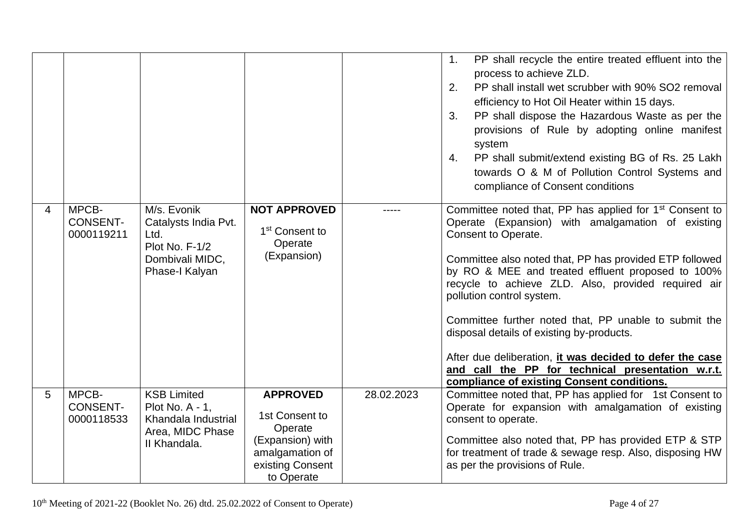|   |                                        |                                                                                                    |                                                                                                                       |            | PP shall recycle the entire treated effluent into the<br>1.<br>process to achieve ZLD.<br>PP shall install wet scrubber with 90% SO2 removal<br>2.<br>efficiency to Hot Oil Heater within 15 days.<br>PP shall dispose the Hazardous Waste as per the<br>3.<br>provisions of Rule by adopting online manifest<br>system<br>PP shall submit/extend existing BG of Rs. 25 Lakh<br>4.<br>towards O & M of Pollution Control Systems and<br>compliance of Consent conditions                                                                                                                                                 |
|---|----------------------------------------|----------------------------------------------------------------------------------------------------|-----------------------------------------------------------------------------------------------------------------------|------------|--------------------------------------------------------------------------------------------------------------------------------------------------------------------------------------------------------------------------------------------------------------------------------------------------------------------------------------------------------------------------------------------------------------------------------------------------------------------------------------------------------------------------------------------------------------------------------------------------------------------------|
| 4 | MPCB-<br><b>CONSENT-</b><br>0000119211 | M/s. Evonik<br>Catalysts India Pvt.<br>Ltd.<br>Plot No. F-1/2<br>Dombivali MIDC,<br>Phase-I Kalyan | <b>NOT APPROVED</b><br>1 <sup>st</sup> Consent to<br>Operate<br>(Expansion)                                           |            | Committee noted that, PP has applied for 1 <sup>st</sup> Consent to<br>Operate (Expansion) with amalgamation of existing<br>Consent to Operate.<br>Committee also noted that, PP has provided ETP followed<br>by RO & MEE and treated effluent proposed to 100%<br>recycle to achieve ZLD. Also, provided required air<br>pollution control system.<br>Committee further noted that, PP unable to submit the<br>disposal details of existing by-products.<br>After due deliberation, it was decided to defer the case<br>and call the PP for technical presentation w.r.t.<br>compliance of existing Consent conditions. |
| 5 | MPCB-<br><b>CONSENT-</b><br>0000118533 | <b>KSB Limited</b><br>Plot No. A - 1,<br>Khandala Industrial<br>Area, MIDC Phase<br>II Khandala.   | <b>APPROVED</b><br>1st Consent to<br>Operate<br>(Expansion) with<br>amalgamation of<br>existing Consent<br>to Operate | 28.02.2023 | Committee noted that, PP has applied for 1st Consent to<br>Operate for expansion with amalgamation of existing<br>consent to operate.<br>Committee also noted that, PP has provided ETP & STP<br>for treatment of trade & sewage resp. Also, disposing HW<br>as per the provisions of Rule.                                                                                                                                                                                                                                                                                                                              |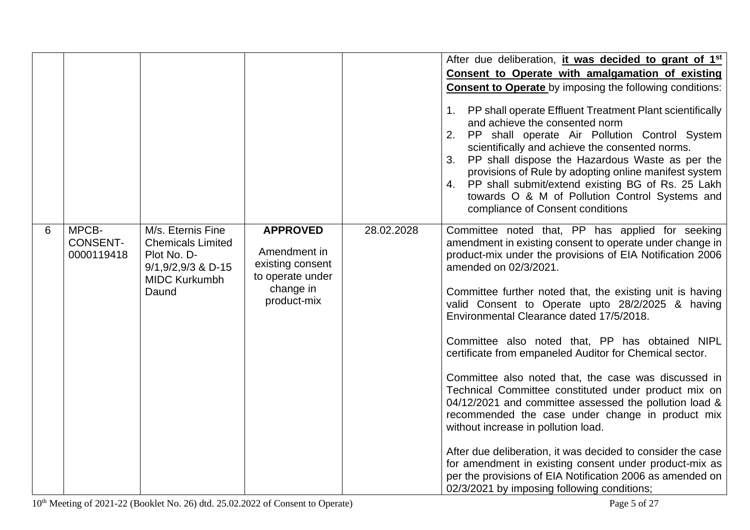|   |                                        |                                                                                                                         |                                                                                                     |            | After due deliberation, it was decided to grant of 1 <sup>st</sup><br>Consent to Operate with amalgamation of existing<br><b>Consent to Operate</b> by imposing the following conditions:<br>1. PP shall operate Effluent Treatment Plant scientifically<br>and achieve the consented norm<br>2. PP shall operate Air Pollution Control System<br>scientifically and achieve the consented norms.<br>PP shall dispose the Hazardous Waste as per the<br>3.<br>provisions of Rule by adopting online manifest system<br>4. PP shall submit/extend existing BG of Rs. 25 Lakh<br>towards O & M of Pollution Control Systems and<br>compliance of Consent conditions                                                                                                                                                                                                                                                                                                                       |
|---|----------------------------------------|-------------------------------------------------------------------------------------------------------------------------|-----------------------------------------------------------------------------------------------------|------------|-----------------------------------------------------------------------------------------------------------------------------------------------------------------------------------------------------------------------------------------------------------------------------------------------------------------------------------------------------------------------------------------------------------------------------------------------------------------------------------------------------------------------------------------------------------------------------------------------------------------------------------------------------------------------------------------------------------------------------------------------------------------------------------------------------------------------------------------------------------------------------------------------------------------------------------------------------------------------------------------|
| 6 | MPCB-<br><b>CONSENT-</b><br>0000119418 | M/s. Eternis Fine<br><b>Chemicals Limited</b><br>Plot No. D-<br>$9/1, 9/2, 9/3$ & D-15<br><b>MIDC Kurkumbh</b><br>Daund | <b>APPROVED</b><br>Amendment in<br>existing consent<br>to operate under<br>change in<br>product-mix | 28.02.2028 | Committee noted that, PP has applied for seeking<br>amendment in existing consent to operate under change in<br>product-mix under the provisions of EIA Notification 2006<br>amended on 02/3/2021.<br>Committee further noted that, the existing unit is having<br>valid Consent to Operate upto 28/2/2025 & having<br>Environmental Clearance dated 17/5/2018.<br>Committee also noted that, PP has obtained NIPL<br>certificate from empaneled Auditor for Chemical sector.<br>Committee also noted that, the case was discussed in<br>Technical Committee constituted under product mix on<br>04/12/2021 and committee assessed the pollution load &<br>recommended the case under change in product mix<br>without increase in pollution load.<br>After due deliberation, it was decided to consider the case<br>for amendment in existing consent under product-mix as<br>per the provisions of EIA Notification 2006 as amended on<br>02/3/2021 by imposing following conditions; |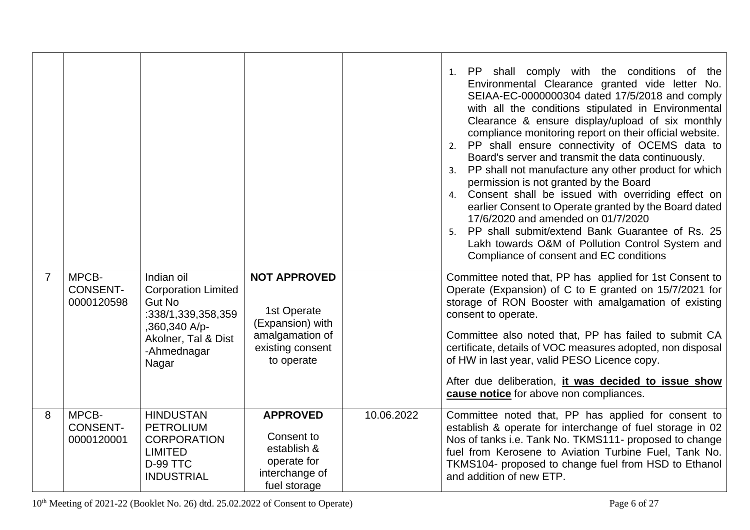|                |                                        |                                                                                                                                                 |                                                                                                             |            | 1. PP shall comply with the conditions of the<br>Environmental Clearance granted vide letter No.<br>SEIAA-EC-0000000304 dated 17/5/2018 and comply<br>with all the conditions stipulated in Environmental<br>Clearance & ensure display/upload of six monthly<br>compliance monitoring report on their official website.<br>2. PP shall ensure connectivity of OCEMS data to<br>Board's server and transmit the data continuously.<br>3. PP shall not manufacture any other product for which<br>permission is not granted by the Board<br>4. Consent shall be issued with overriding effect on<br>earlier Consent to Operate granted by the Board dated<br>17/6/2020 and amended on 01/7/2020<br>PP shall submit/extend Bank Guarantee of Rs. 25<br>5.<br>Lakh towards O&M of Pollution Control System and<br>Compliance of consent and EC conditions |
|----------------|----------------------------------------|-------------------------------------------------------------------------------------------------------------------------------------------------|-------------------------------------------------------------------------------------------------------------|------------|--------------------------------------------------------------------------------------------------------------------------------------------------------------------------------------------------------------------------------------------------------------------------------------------------------------------------------------------------------------------------------------------------------------------------------------------------------------------------------------------------------------------------------------------------------------------------------------------------------------------------------------------------------------------------------------------------------------------------------------------------------------------------------------------------------------------------------------------------------|
| $\overline{7}$ | MPCB-<br><b>CONSENT-</b><br>0000120598 | Indian oil<br><b>Corporation Limited</b><br><b>Gut No</b><br>:338/1,339,358,359<br>,360,340 A/p-<br>Akolner, Tal & Dist<br>-Ahmednagar<br>Nagar | <b>NOT APPROVED</b><br>1st Operate<br>(Expansion) with<br>amalgamation of<br>existing consent<br>to operate |            | Committee noted that, PP has applied for 1st Consent to<br>Operate (Expansion) of C to E granted on 15/7/2021 for<br>storage of RON Booster with amalgamation of existing<br>consent to operate.<br>Committee also noted that, PP has failed to submit CA<br>certificate, details of VOC measures adopted, non disposal<br>of HW in last year, valid PESO Licence copy.<br>After due deliberation, it was decided to issue show<br>cause notice for above non compliances.                                                                                                                                                                                                                                                                                                                                                                             |
| 8              | MPCB-<br><b>CONSENT-</b><br>0000120001 | <b>HINDUSTAN</b><br><b>PETROLIUM</b><br><b>CORPORATION</b><br><b>LIMITED</b><br>D-99 TTC<br><b>INDUSTRIAL</b>                                   | <b>APPROVED</b><br>Consent to<br>establish &<br>operate for<br>interchange of<br>fuel storage               | 10.06.2022 | Committee noted that, PP has applied for consent to<br>establish & operate for interchange of fuel storage in 02<br>Nos of tanks i.e. Tank No. TKMS111- proposed to change<br>fuel from Kerosene to Aviation Turbine Fuel, Tank No.<br>TKMS104- proposed to change fuel from HSD to Ethanol<br>and addition of new ETP.                                                                                                                                                                                                                                                                                                                                                                                                                                                                                                                                |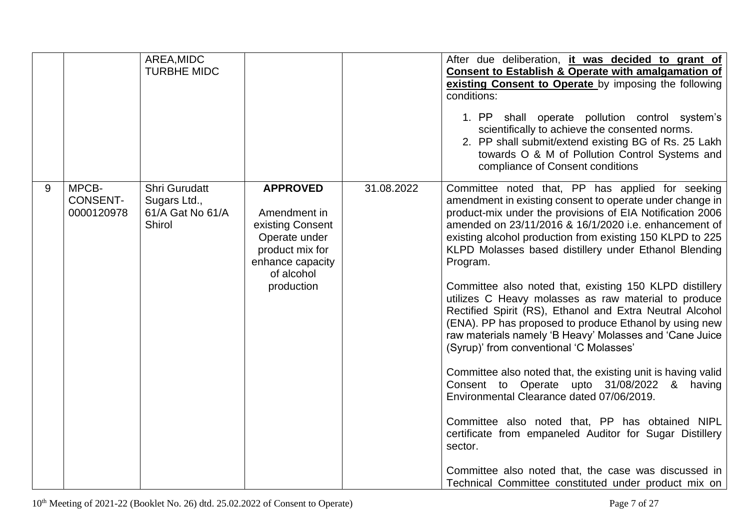|   |                                        | AREA, MIDC<br><b>TURBHE MIDC</b>                                   |                                                                                                                                         |            | After due deliberation, it was decided to grant of<br>Consent to Establish & Operate with amalgamation of<br>existing Consent to Operate by imposing the following<br>conditions:<br>1. PP shall operate pollution control system's<br>scientifically to achieve the consented norms.<br>2. PP shall submit/extend existing BG of Rs. 25 Lakh<br>towards O & M of Pollution Control Systems and<br>compliance of Consent conditions                                                                                                                                                                                                                                                                                                                                                                                                                                                                                                                                                                                                                                                                                      |
|---|----------------------------------------|--------------------------------------------------------------------|-----------------------------------------------------------------------------------------------------------------------------------------|------------|--------------------------------------------------------------------------------------------------------------------------------------------------------------------------------------------------------------------------------------------------------------------------------------------------------------------------------------------------------------------------------------------------------------------------------------------------------------------------------------------------------------------------------------------------------------------------------------------------------------------------------------------------------------------------------------------------------------------------------------------------------------------------------------------------------------------------------------------------------------------------------------------------------------------------------------------------------------------------------------------------------------------------------------------------------------------------------------------------------------------------|
| 9 | MPCB-<br><b>CONSENT-</b><br>0000120978 | Shri Gurudatt<br>Sugars Ltd.,<br>61/A Gat No 61/A<br><b>Shirol</b> | <b>APPROVED</b><br>Amendment in<br>existing Consent<br>Operate under<br>product mix for<br>enhance capacity<br>of alcohol<br>production | 31.08.2022 | Committee noted that, PP has applied for seeking<br>amendment in existing consent to operate under change in<br>product-mix under the provisions of EIA Notification 2006<br>amended on 23/11/2016 & 16/1/2020 i.e. enhancement of<br>existing alcohol production from existing 150 KLPD to 225<br>KLPD Molasses based distillery under Ethanol Blending<br>Program.<br>Committee also noted that, existing 150 KLPD distillery<br>utilizes C Heavy molasses as raw material to produce<br>Rectified Spirit (RS), Ethanol and Extra Neutral Alcohol<br>(ENA). PP has proposed to produce Ethanol by using new<br>raw materials namely 'B Heavy' Molasses and 'Cane Juice<br>(Syrup)' from conventional 'C Molasses'<br>Committee also noted that, the existing unit is having valid<br>Consent to Operate upto 31/08/2022 & having<br>Environmental Clearance dated 07/06/2019.<br>Committee also noted that, PP has obtained NIPL<br>certificate from empaneled Auditor for Sugar Distillery<br>sector.<br>Committee also noted that, the case was discussed in<br>Technical Committee constituted under product mix on |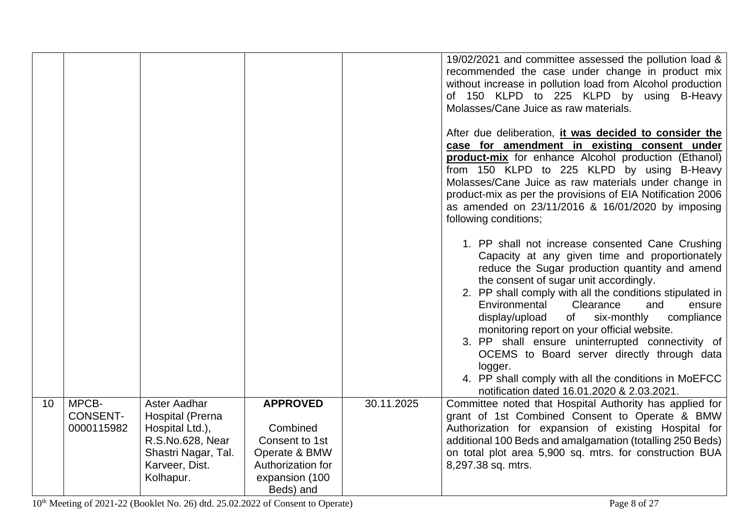|    |                                        |                                                                                                                                      |                                                                                                                    |            | 19/02/2021 and committee assessed the pollution load &<br>recommended the case under change in product mix<br>without increase in pollution load from Alcohol production<br>of 150 KLPD to 225 KLPD by using B-Heavy<br>Molasses/Cane Juice as raw materials.<br>After due deliberation, it was decided to consider the<br>case for amendment in existing consent under<br>product-mix for enhance Alcohol production (Ethanol)<br>from 150 KLPD to 225 KLPD by using B-Heavy<br>Molasses/Cane Juice as raw materials under change in<br>product-mix as per the provisions of EIA Notification 2006<br>as amended on 23/11/2016 & 16/01/2020 by imposing<br>following conditions;<br>1. PP shall not increase consented Cane Crushing<br>Capacity at any given time and proportionately<br>reduce the Sugar production quantity and amend<br>the consent of sugar unit accordingly.<br>2. PP shall comply with all the conditions stipulated in<br>Environmental<br>Clearance<br>and<br>ensure<br>display/upload<br>of<br>six-monthly<br>compliance<br>monitoring report on your official website.<br>3. PP shall ensure uninterrupted connectivity of<br>OCEMS to Board server directly through data<br>logger.<br>4. PP shall comply with all the conditions in MoEFCC |
|----|----------------------------------------|--------------------------------------------------------------------------------------------------------------------------------------|--------------------------------------------------------------------------------------------------------------------|------------|--------------------------------------------------------------------------------------------------------------------------------------------------------------------------------------------------------------------------------------------------------------------------------------------------------------------------------------------------------------------------------------------------------------------------------------------------------------------------------------------------------------------------------------------------------------------------------------------------------------------------------------------------------------------------------------------------------------------------------------------------------------------------------------------------------------------------------------------------------------------------------------------------------------------------------------------------------------------------------------------------------------------------------------------------------------------------------------------------------------------------------------------------------------------------------------------------------------------------------------------------------------------------|
| 10 | MPCB-<br><b>CONSENT-</b><br>0000115982 | Aster Aadhar<br><b>Hospital (Prerna</b><br>Hospital Ltd.),<br>R.S.No.628, Near<br>Shastri Nagar, Tal.<br>Karveer, Dist.<br>Kolhapur. | <b>APPROVED</b><br>Combined<br>Consent to 1st<br>Operate & BMW<br>Authorization for<br>expansion (100<br>Beds) and | 30.11.2025 | notification dated 16.01.2020 & 2.03.2021.<br>Committee noted that Hospital Authority has applied for<br>grant of 1st Combined Consent to Operate & BMW<br>Authorization for expansion of existing Hospital for<br>additional 100 Beds and amalgamation (totalling 250 Beds)<br>on total plot area 5,900 sq. mtrs. for construction BUA<br>8,297.38 sq. mtrs.                                                                                                                                                                                                                                                                                                                                                                                                                                                                                                                                                                                                                                                                                                                                                                                                                                                                                                            |

10<sup>th</sup> Meeting of 2021-22 (Booklet No. 26) dtd. 25.02.2022 of Consent to Operate) Page 8 of 27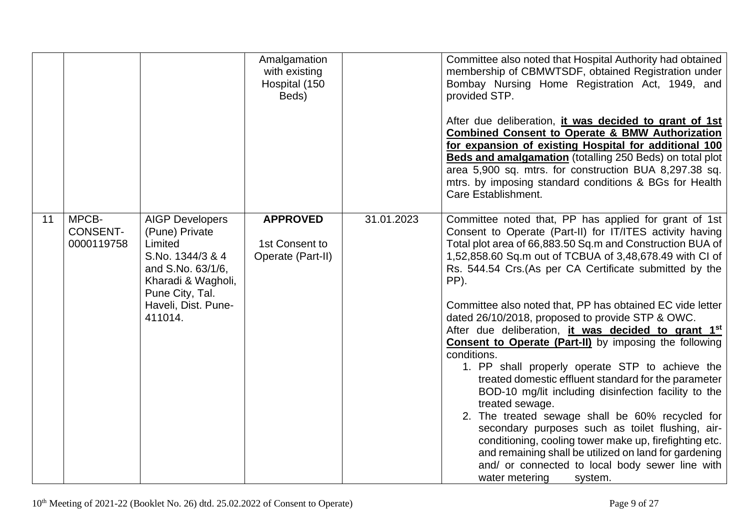|    |                                        |                                                                                                                                                                         | Amalgamation<br>with existing<br>Hospital (150<br>Beds) |            | Committee also noted that Hospital Authority had obtained<br>membership of CBMWTSDF, obtained Registration under<br>Bombay Nursing Home Registration Act, 1949, and<br>provided STP.<br>After due deliberation, it was decided to grant of 1st<br><b>Combined Consent to Operate &amp; BMW Authorization</b><br>for expansion of existing Hospital for additional 100<br>Beds and amalgamation (totalling 250 Beds) on total plot<br>area 5,900 sq. mtrs. for construction BUA 8,297.38 sq.<br>mtrs. by imposing standard conditions & BGs for Health<br>Care Establishment.                                                                                                                                                                                                                                                                                                                                                                                                                                                                                         |
|----|----------------------------------------|-------------------------------------------------------------------------------------------------------------------------------------------------------------------------|---------------------------------------------------------|------------|----------------------------------------------------------------------------------------------------------------------------------------------------------------------------------------------------------------------------------------------------------------------------------------------------------------------------------------------------------------------------------------------------------------------------------------------------------------------------------------------------------------------------------------------------------------------------------------------------------------------------------------------------------------------------------------------------------------------------------------------------------------------------------------------------------------------------------------------------------------------------------------------------------------------------------------------------------------------------------------------------------------------------------------------------------------------|
| 11 | MPCB-<br><b>CONSENT-</b><br>0000119758 | <b>AIGP Developers</b><br>(Pune) Private<br>Limited<br>S.No. 1344/3 & 4<br>and S.No. 63/1/6,<br>Kharadi & Wagholi,<br>Pune City, Tal.<br>Haveli, Dist. Pune-<br>411014. | <b>APPROVED</b><br>1st Consent to<br>Operate (Part-II)  | 31.01.2023 | Committee noted that, PP has applied for grant of 1st<br>Consent to Operate (Part-II) for IT/ITES activity having<br>Total plot area of 66,883.50 Sq.m and Construction BUA of<br>1,52,858.60 Sq.m out of TCBUA of 3,48,678.49 with CI of<br>Rs. 544.54 Crs. (As per CA Certificate submitted by the<br>PP).<br>Committee also noted that, PP has obtained EC vide letter<br>dated 26/10/2018, proposed to provide STP & OWC.<br>After due deliberation, it was decided to grant 1st<br><b>Consent to Operate (Part-II)</b> by imposing the following<br>conditions.<br>1. PP shall properly operate STP to achieve the<br>treated domestic effluent standard for the parameter<br>BOD-10 mg/lit including disinfection facility to the<br>treated sewage.<br>2. The treated sewage shall be 60% recycled for<br>secondary purposes such as toilet flushing, air-<br>conditioning, cooling tower make up, firefighting etc.<br>and remaining shall be utilized on land for gardening<br>and/ or connected to local body sewer line with<br>water metering<br>system. |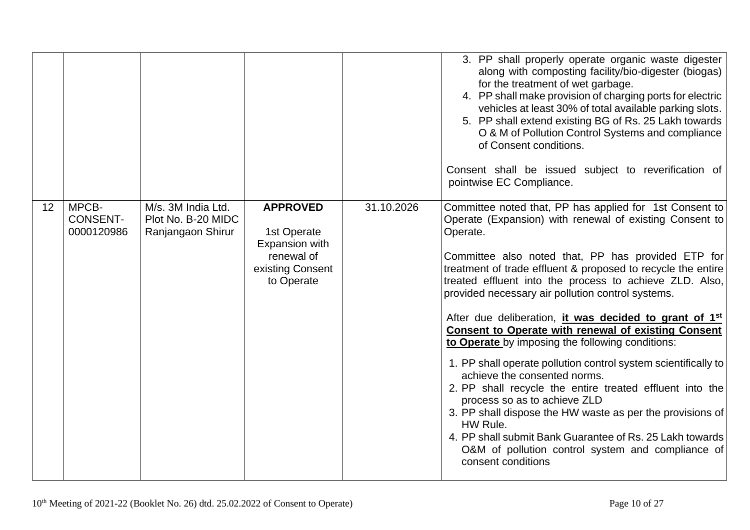|    |                                        |                                                               |                                                                                                  |            | 3. PP shall properly operate organic waste digester<br>along with composting facility/bio-digester (biogas)<br>for the treatment of wet garbage.<br>4. PP shall make provision of charging ports for electric<br>vehicles at least 30% of total available parking slots.<br>5. PP shall extend existing BG of Rs. 25 Lakh towards<br>O & M of Pollution Control Systems and compliance<br>of Consent conditions.<br>Consent shall be issued subject to reverification of<br>pointwise EC Compliance.                                                                                                                                                                                                                                                                                                                                                                                                                                                                       |
|----|----------------------------------------|---------------------------------------------------------------|--------------------------------------------------------------------------------------------------|------------|----------------------------------------------------------------------------------------------------------------------------------------------------------------------------------------------------------------------------------------------------------------------------------------------------------------------------------------------------------------------------------------------------------------------------------------------------------------------------------------------------------------------------------------------------------------------------------------------------------------------------------------------------------------------------------------------------------------------------------------------------------------------------------------------------------------------------------------------------------------------------------------------------------------------------------------------------------------------------|
| 12 | MPCB-<br><b>CONSENT-</b><br>0000120986 | M/s. 3M India Ltd.<br>Plot No. B-20 MIDC<br>Ranjangaon Shirur | <b>APPROVED</b><br>1st Operate<br>Expansion with<br>renewal of<br>existing Consent<br>to Operate | 31.10.2026 | Committee noted that, PP has applied for 1st Consent to<br>Operate (Expansion) with renewal of existing Consent to<br>Operate.<br>Committee also noted that, PP has provided ETP for<br>treatment of trade effluent & proposed to recycle the entire<br>treated effluent into the process to achieve ZLD. Also,<br>provided necessary air pollution control systems.<br>After due deliberation, it was decided to grant of 1 <sup>st</sup><br><b>Consent to Operate with renewal of existing Consent</b><br>to Operate by imposing the following conditions:<br>1. PP shall operate pollution control system scientifically to<br>achieve the consented norms.<br>2. PP shall recycle the entire treated effluent into the<br>process so as to achieve ZLD<br>3. PP shall dispose the HW waste as per the provisions of<br>HW Rule.<br>4. PP shall submit Bank Guarantee of Rs. 25 Lakh towards<br>O&M of pollution control system and compliance of<br>consent conditions |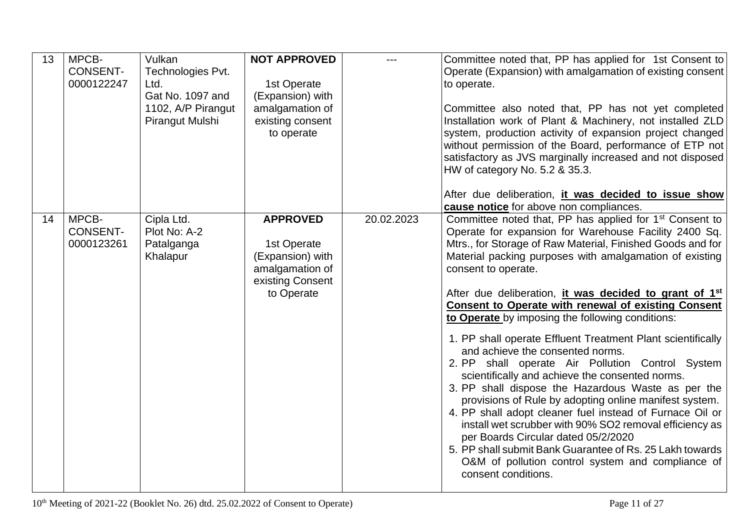| 13 | MPCB-<br><b>CONSENT-</b><br>0000122247 | Vulkan<br>Technologies Pvt.<br>Ltd.<br>Gat No. 1097 and<br>1102, A/P Pirangut<br>Pirangut Mulshi | <b>NOT APPROVED</b><br>1st Operate<br>(Expansion) with<br>amalgamation of<br>existing consent<br>to operate |            | Committee noted that, PP has applied for 1st Consent to<br>Operate (Expansion) with amalgamation of existing consent<br>to operate.<br>Committee also noted that, PP has not yet completed<br>Installation work of Plant & Machinery, not installed ZLD<br>system, production activity of expansion project changed<br>without permission of the Board, performance of ETP not<br>satisfactory as JVS marginally increased and not disposed<br>HW of category No. 5.2 & 35.3.                                                                                                                                                                                                                                                                                                                                                                                                                                                                                                                                                                                                                                                                                                                                  |
|----|----------------------------------------|--------------------------------------------------------------------------------------------------|-------------------------------------------------------------------------------------------------------------|------------|----------------------------------------------------------------------------------------------------------------------------------------------------------------------------------------------------------------------------------------------------------------------------------------------------------------------------------------------------------------------------------------------------------------------------------------------------------------------------------------------------------------------------------------------------------------------------------------------------------------------------------------------------------------------------------------------------------------------------------------------------------------------------------------------------------------------------------------------------------------------------------------------------------------------------------------------------------------------------------------------------------------------------------------------------------------------------------------------------------------------------------------------------------------------------------------------------------------|
| 14 | MPCB-<br><b>CONSENT-</b><br>0000123261 | Cipla Ltd.<br>Plot No: A-2<br>Patalganga<br>Khalapur                                             | <b>APPROVED</b><br>1st Operate<br>(Expansion) with<br>amalgamation of<br>existing Consent<br>to Operate     | 20.02.2023 | After due deliberation, <i>it was decided to issue show</i><br>cause notice for above non compliances.<br>Committee noted that, PP has applied for 1 <sup>st</sup> Consent to<br>Operate for expansion for Warehouse Facility 2400 Sq.<br>Mtrs., for Storage of Raw Material, Finished Goods and for<br>Material packing purposes with amalgamation of existing<br>consent to operate.<br>After due deliberation, it was decided to grant of 1 <sup>st</sup><br><b>Consent to Operate with renewal of existing Consent</b><br>to Operate by imposing the following conditions:<br>1. PP shall operate Effluent Treatment Plant scientifically<br>and achieve the consented norms.<br>2. PP shall operate Air Pollution Control System<br>scientifically and achieve the consented norms.<br>3. PP shall dispose the Hazardous Waste as per the<br>provisions of Rule by adopting online manifest system.<br>4. PP shall adopt cleaner fuel instead of Furnace Oil or<br>install wet scrubber with 90% SO2 removal efficiency as<br>per Boards Circular dated 05/2/2020<br>5. PP shall submit Bank Guarantee of Rs. 25 Lakh towards<br>O&M of pollution control system and compliance of<br>consent conditions. |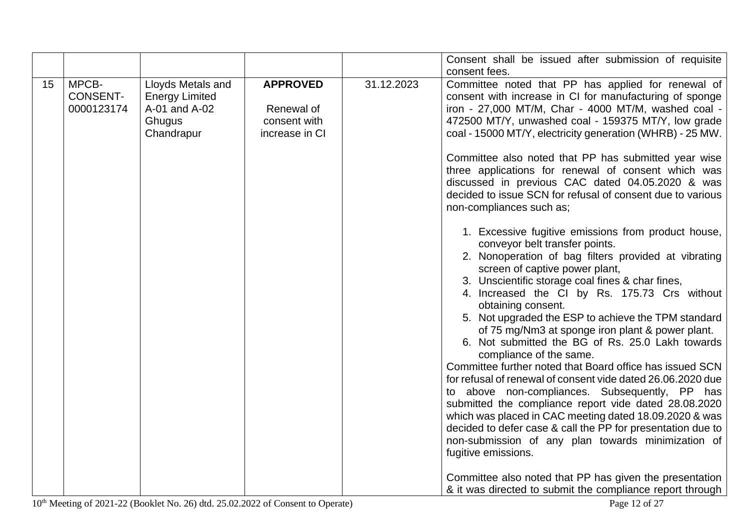|    |                                        |                                                                                     |                                                                 |            | Consent shall be issued after submission of requisite                                                                                                                                                                                                                                                                                                                                                                                                                                                                                                                                                                                                                                                                                                                                                                                                                                                                                                                                                                                                                                                                                                                                                                                                                                                                                                                                                                                                                                                     |
|----|----------------------------------------|-------------------------------------------------------------------------------------|-----------------------------------------------------------------|------------|-----------------------------------------------------------------------------------------------------------------------------------------------------------------------------------------------------------------------------------------------------------------------------------------------------------------------------------------------------------------------------------------------------------------------------------------------------------------------------------------------------------------------------------------------------------------------------------------------------------------------------------------------------------------------------------------------------------------------------------------------------------------------------------------------------------------------------------------------------------------------------------------------------------------------------------------------------------------------------------------------------------------------------------------------------------------------------------------------------------------------------------------------------------------------------------------------------------------------------------------------------------------------------------------------------------------------------------------------------------------------------------------------------------------------------------------------------------------------------------------------------------|
|    |                                        |                                                                                     |                                                                 |            | consent fees.                                                                                                                                                                                                                                                                                                                                                                                                                                                                                                                                                                                                                                                                                                                                                                                                                                                                                                                                                                                                                                                                                                                                                                                                                                                                                                                                                                                                                                                                                             |
| 15 | MPCB-<br><b>CONSENT-</b><br>0000123174 | Lloyds Metals and<br><b>Energy Limited</b><br>A-01 and A-02<br>Ghugus<br>Chandrapur | <b>APPROVED</b><br>Renewal of<br>consent with<br>increase in CI | 31.12.2023 | Committee noted that PP has applied for renewal of<br>consent with increase in CI for manufacturing of sponge<br>iron - 27,000 MT/M, Char - 4000 MT/M, washed coal -<br>472500 MT/Y, unwashed coal - 159375 MT/Y, low grade<br>coal - 15000 MT/Y, electricity generation (WHRB) - 25 MW.<br>Committee also noted that PP has submitted year wise<br>three applications for renewal of consent which was<br>discussed in previous CAC dated 04.05.2020 & was<br>decided to issue SCN for refusal of consent due to various<br>non-compliances such as;<br>1. Excessive fugitive emissions from product house,<br>conveyor belt transfer points.<br>2. Nonoperation of bag filters provided at vibrating<br>screen of captive power plant,<br>3. Unscientific storage coal fines & char fines,<br>4. Increased the CI by Rs. 175.73 Crs without<br>obtaining consent.<br>5. Not upgraded the ESP to achieve the TPM standard<br>of 75 mg/Nm3 at sponge iron plant & power plant.<br>6. Not submitted the BG of Rs. 25.0 Lakh towards<br>compliance of the same.<br>Committee further noted that Board office has issued SCN<br>for refusal of renewal of consent vide dated 26.06.2020 due<br>to above non-compliances. Subsequently, PP has<br>submitted the compliance report vide dated 28.08.2020<br>which was placed in CAC meeting dated 18.09.2020 & was<br>decided to defer case & call the PP for presentation due to<br>non-submission of any plan towards minimization of<br>fugitive emissions. |
|    |                                        |                                                                                     |                                                                 |            | Committee also noted that PP has given the presentation<br>& it was directed to submit the compliance report through                                                                                                                                                                                                                                                                                                                                                                                                                                                                                                                                                                                                                                                                                                                                                                                                                                                                                                                                                                                                                                                                                                                                                                                                                                                                                                                                                                                      |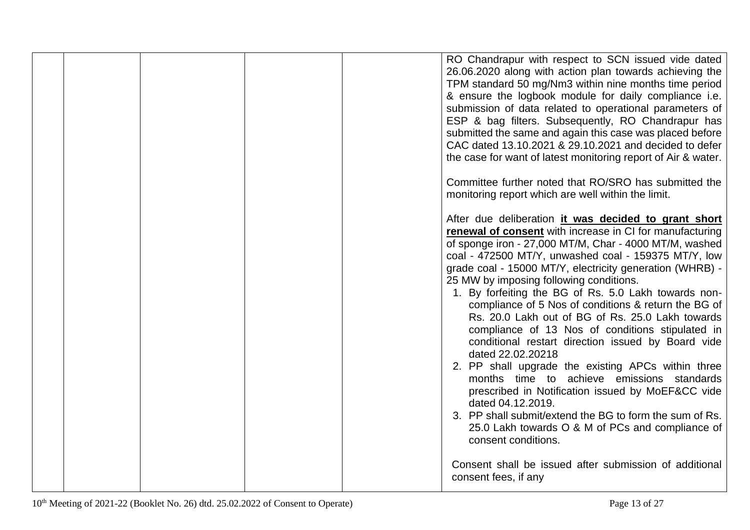|  |  | RO Chandrapur with respect to SCN issued vide dated<br>26.06.2020 along with action plan towards achieving the<br>TPM standard 50 mg/Nm3 within nine months time period<br>& ensure the logbook module for daily compliance i.e.<br>submission of data related to operational parameters of<br>ESP & bag filters. Subsequently, RO Chandrapur has<br>submitted the same and again this case was placed before<br>CAC dated 13.10.2021 & 29.10.2021 and decided to defer<br>the case for want of latest monitoring report of Air & water.                                                                                                                                                                                                                                                                                                                                                                                                                         |
|--|--|------------------------------------------------------------------------------------------------------------------------------------------------------------------------------------------------------------------------------------------------------------------------------------------------------------------------------------------------------------------------------------------------------------------------------------------------------------------------------------------------------------------------------------------------------------------------------------------------------------------------------------------------------------------------------------------------------------------------------------------------------------------------------------------------------------------------------------------------------------------------------------------------------------------------------------------------------------------|
|  |  | Committee further noted that RO/SRO has submitted the<br>monitoring report which are well within the limit.                                                                                                                                                                                                                                                                                                                                                                                                                                                                                                                                                                                                                                                                                                                                                                                                                                                      |
|  |  | After due deliberation it was decided to grant short<br>renewal of consent with increase in CI for manufacturing<br>of sponge iron - 27,000 MT/M, Char - 4000 MT/M, washed<br>coal - 472500 MT/Y, unwashed coal - 159375 MT/Y, low<br>grade coal - 15000 MT/Y, electricity generation (WHRB) -<br>25 MW by imposing following conditions.<br>1. By forfeiting the BG of Rs. 5.0 Lakh towards non-<br>compliance of 5 Nos of conditions & return the BG of<br>Rs. 20.0 Lakh out of BG of Rs. 25.0 Lakh towards<br>compliance of 13 Nos of conditions stipulated in<br>conditional restart direction issued by Board vide<br>dated 22.02.20218<br>2. PP shall upgrade the existing APCs within three<br>months time to achieve emissions standards<br>prescribed in Notification issued by MoEF&CC vide<br>dated 04.12.2019.<br>3. PP shall submit/extend the BG to form the sum of Rs.<br>25.0 Lakh towards O & M of PCs and compliance of<br>consent conditions. |
|  |  | Consent shall be issued after submission of additional<br>consent fees, if any                                                                                                                                                                                                                                                                                                                                                                                                                                                                                                                                                                                                                                                                                                                                                                                                                                                                                   |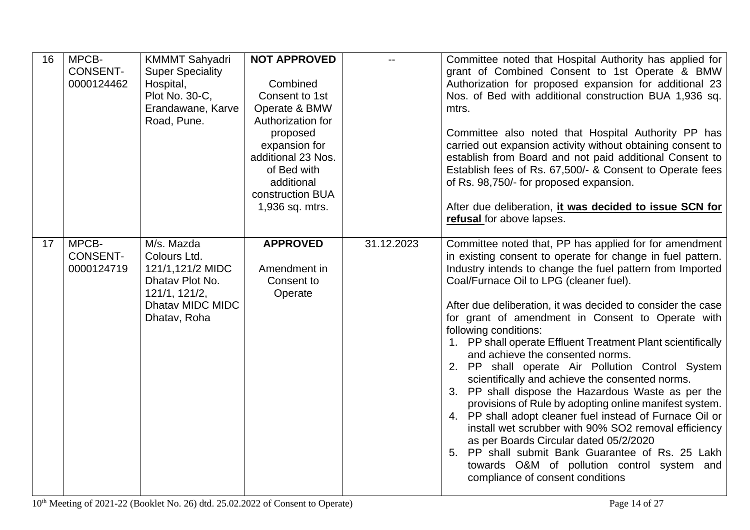| 16 | MPCB-<br><b>CONSENT-</b><br>0000124462 | <b>KMMMT Sahyadri</b><br><b>Super Speciality</b><br>Hospital,<br>Plot No. 30-C,<br>Erandawane, Karve<br>Road, Pune.    | <b>NOT APPROVED</b><br>Combined<br>Consent to 1st<br>Operate & BMW<br>Authorization for<br>proposed<br>expansion for<br>additional 23 Nos.<br>of Bed with<br>additional<br>construction BUA<br>1,936 sq. mtrs. |            | Committee noted that Hospital Authority has applied for<br>grant of Combined Consent to 1st Operate & BMW<br>Authorization for proposed expansion for additional 23<br>Nos. of Bed with additional construction BUA 1,936 sq.<br>mtrs.<br>Committee also noted that Hospital Authority PP has<br>carried out expansion activity without obtaining consent to<br>establish from Board and not paid additional Consent to<br>Establish fees of Rs. 67,500/- & Consent to Operate fees<br>of Rs. 98,750/- for proposed expansion.<br>After due deliberation, it was decided to issue SCN for<br>refusal for above lapses.                                                                                                                                                                                                                                                                                                                                                                                      |
|----|----------------------------------------|------------------------------------------------------------------------------------------------------------------------|----------------------------------------------------------------------------------------------------------------------------------------------------------------------------------------------------------------|------------|-------------------------------------------------------------------------------------------------------------------------------------------------------------------------------------------------------------------------------------------------------------------------------------------------------------------------------------------------------------------------------------------------------------------------------------------------------------------------------------------------------------------------------------------------------------------------------------------------------------------------------------------------------------------------------------------------------------------------------------------------------------------------------------------------------------------------------------------------------------------------------------------------------------------------------------------------------------------------------------------------------------|
| 17 | MPCB-<br><b>CONSENT-</b><br>0000124719 | M/s. Mazda<br>Colours Ltd.<br>121/1,121/2 MIDC<br>Dhatav Plot No.<br>121/1, 121/2,<br>Dhatav MIDC MIDC<br>Dhatav, Roha | <b>APPROVED</b><br>Amendment in<br>Consent to<br>Operate                                                                                                                                                       | 31.12.2023 | Committee noted that, PP has applied for for amendment<br>in existing consent to operate for change in fuel pattern.<br>Industry intends to change the fuel pattern from Imported<br>Coal/Furnace Oil to LPG (cleaner fuel).<br>After due deliberation, it was decided to consider the case<br>for grant of amendment in Consent to Operate with<br>following conditions:<br>1. PP shall operate Effluent Treatment Plant scientifically<br>and achieve the consented norms.<br>2. PP shall operate Air Pollution Control System<br>scientifically and achieve the consented norms.<br>PP shall dispose the Hazardous Waste as per the<br>3.<br>provisions of Rule by adopting online manifest system.<br>4. PP shall adopt cleaner fuel instead of Furnace Oil or<br>install wet scrubber with 90% SO2 removal efficiency<br>as per Boards Circular dated 05/2/2020<br>5. PP shall submit Bank Guarantee of Rs. 25 Lakh<br>towards O&M of pollution control system and<br>compliance of consent conditions |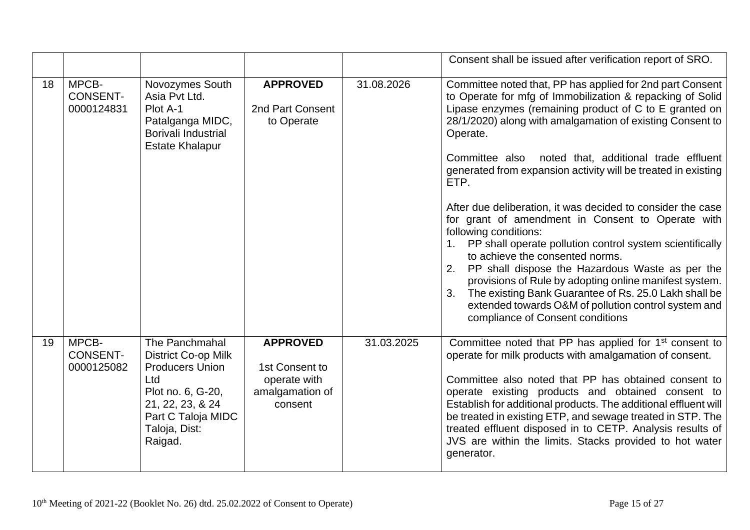|    |                                        |                                                                                                                                                                          |                                                                                 |            | Consent shall be issued after verification report of SRO.                                                                                                                                                                                                                                                                                                                                                                                                                                                                                                                                                                                                                                                                                                                                                                                                                                                            |
|----|----------------------------------------|--------------------------------------------------------------------------------------------------------------------------------------------------------------------------|---------------------------------------------------------------------------------|------------|----------------------------------------------------------------------------------------------------------------------------------------------------------------------------------------------------------------------------------------------------------------------------------------------------------------------------------------------------------------------------------------------------------------------------------------------------------------------------------------------------------------------------------------------------------------------------------------------------------------------------------------------------------------------------------------------------------------------------------------------------------------------------------------------------------------------------------------------------------------------------------------------------------------------|
| 18 | MPCB-<br><b>CONSENT-</b><br>0000124831 | Novozymes South<br>Asia Pvt Ltd.<br>Plot A-1<br>Patalganga MIDC,<br><b>Borivali Industrial</b><br><b>Estate Khalapur</b>                                                 | <b>APPROVED</b><br>2nd Part Consent<br>to Operate                               | 31.08.2026 | Committee noted that, PP has applied for 2nd part Consent<br>to Operate for mfg of Immobilization & repacking of Solid<br>Lipase enzymes (remaining product of C to E granted on<br>28/1/2020) along with amalgamation of existing Consent to<br>Operate.<br>Committee also noted that, additional trade effluent<br>generated from expansion activity will be treated in existing<br>ETP.<br>After due deliberation, it was decided to consider the case<br>for grant of amendment in Consent to Operate with<br>following conditions:<br>PP shall operate pollution control system scientifically<br>to achieve the consented norms.<br>PP shall dispose the Hazardous Waste as per the<br>2.<br>provisions of Rule by adopting online manifest system.<br>The existing Bank Guarantee of Rs. 25.0 Lakh shall be<br>3.<br>extended towards O&M of pollution control system and<br>compliance of Consent conditions |
| 19 | MPCB-<br><b>CONSENT-</b><br>0000125082 | The Panchmahal<br><b>District Co-op Milk</b><br><b>Producers Union</b><br>Ltd<br>Plot no. 6, G-20,<br>21, 22, 23, & 24<br>Part C Taloja MIDC<br>Taloja, Dist:<br>Raigad. | <b>APPROVED</b><br>1st Consent to<br>operate with<br>amalgamation of<br>consent | 31.03.2025 | Committee noted that PP has applied for 1 <sup>st</sup> consent to<br>operate for milk products with amalgamation of consent.<br>Committee also noted that PP has obtained consent to<br>operate existing products and obtained consent to<br>Establish for additional products. The additional effluent will<br>be treated in existing ETP, and sewage treated in STP. The<br>treated effluent disposed in to CETP. Analysis results of<br>JVS are within the limits. Stacks provided to hot water<br>generator.                                                                                                                                                                                                                                                                                                                                                                                                    |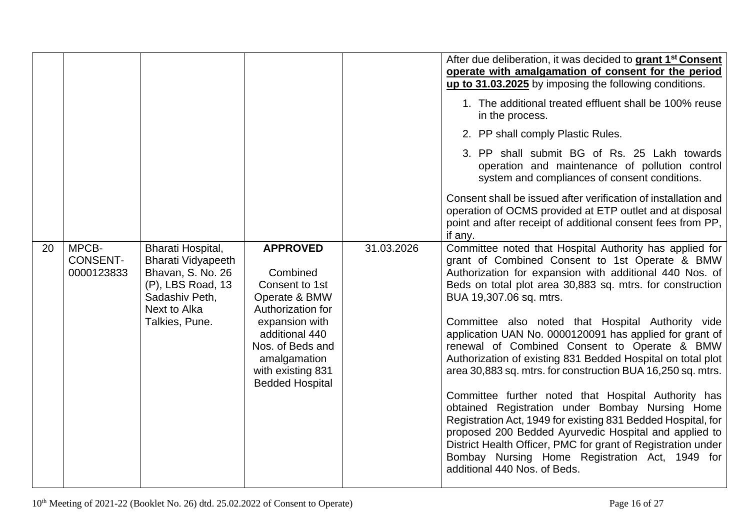|    |                                        |                                                                                                                                              |                                                                                                                                                                                                            |            | After due deliberation, it was decided to grant 1 <sup>st</sup> Consent<br>operate with amalgamation of consent for the period<br>up to 31.03.2025 by imposing the following conditions.<br>1. The additional treated effluent shall be 100% reuse<br>in the process.<br>2. PP shall comply Plastic Rules.<br>3. PP shall submit BG of Rs. 25 Lakh towards<br>operation and maintenance of pollution control<br>system and compliances of consent conditions.<br>Consent shall be issued after verification of installation and<br>operation of OCMS provided at ETP outlet and at disposal<br>point and after receipt of additional consent fees from PP,<br>if any.                                                                                                                                                                                                                                                                           |
|----|----------------------------------------|----------------------------------------------------------------------------------------------------------------------------------------------|------------------------------------------------------------------------------------------------------------------------------------------------------------------------------------------------------------|------------|-------------------------------------------------------------------------------------------------------------------------------------------------------------------------------------------------------------------------------------------------------------------------------------------------------------------------------------------------------------------------------------------------------------------------------------------------------------------------------------------------------------------------------------------------------------------------------------------------------------------------------------------------------------------------------------------------------------------------------------------------------------------------------------------------------------------------------------------------------------------------------------------------------------------------------------------------|
| 20 | MPCB-<br><b>CONSENT-</b><br>0000123833 | Bharati Hospital,<br><b>Bharati Vidyapeeth</b><br>Bhavan, S. No. 26<br>(P), LBS Road, 13<br>Sadashiv Peth,<br>Next to Alka<br>Talkies, Pune. | <b>APPROVED</b><br>Combined<br>Consent to 1st<br>Operate & BMW<br>Authorization for<br>expansion with<br>additional 440<br>Nos. of Beds and<br>amalgamation<br>with existing 831<br><b>Bedded Hospital</b> | 31.03.2026 | Committee noted that Hospital Authority has applied for<br>grant of Combined Consent to 1st Operate & BMW<br>Authorization for expansion with additional 440 Nos. of<br>Beds on total plot area 30,883 sq. mtrs. for construction<br>BUA 19,307.06 sq. mtrs.<br>Committee also noted that Hospital Authority vide<br>application UAN No. 0000120091 has applied for grant of<br>renewal of Combined Consent to Operate & BMW<br>Authorization of existing 831 Bedded Hospital on total plot<br>area 30,883 sq. mtrs. for construction BUA 16,250 sq. mtrs.<br>Committee further noted that Hospital Authority has<br>obtained Registration under Bombay Nursing Home<br>Registration Act, 1949 for existing 831 Bedded Hospital, for<br>proposed 200 Bedded Ayurvedic Hospital and applied to<br>District Health Officer, PMC for grant of Registration under<br>Bombay Nursing Home Registration Act, 1949 for<br>additional 440 Nos. of Beds. |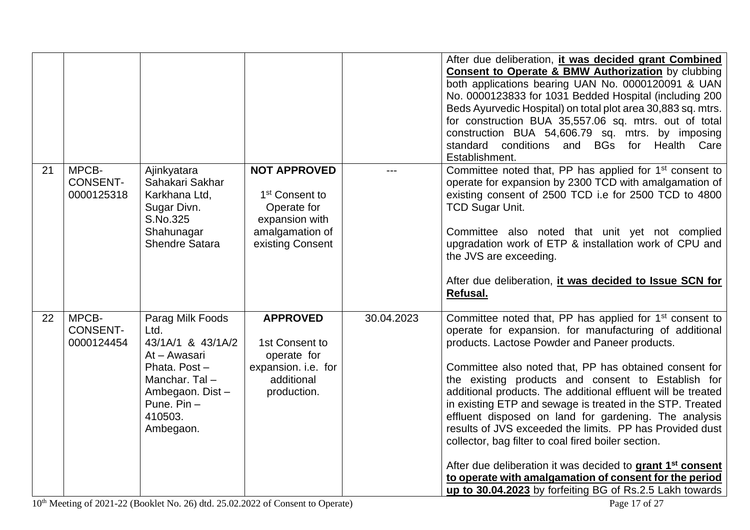|    |                                        |                                                                                                                                                             |                                                                                                                           |            | After due deliberation, it was decided grant Combined<br><b>Consent to Operate &amp; BMW Authorization</b> by clubbing<br>both applications bearing UAN No. 0000120091 & UAN<br>No. 0000123833 for 1031 Bedded Hospital (including 200<br>Beds Ayurvedic Hospital) on total plot area 30,883 sq. mtrs.<br>for construction BUA 35,557.06 sq. mtrs. out of total<br>construction BUA 54,606.79 sq. mtrs. by imposing<br>standard conditions and BGs for Health Care<br>Establishment.                                                                                                                                                                                                                                                                                                                    |
|----|----------------------------------------|-------------------------------------------------------------------------------------------------------------------------------------------------------------|---------------------------------------------------------------------------------------------------------------------------|------------|---------------------------------------------------------------------------------------------------------------------------------------------------------------------------------------------------------------------------------------------------------------------------------------------------------------------------------------------------------------------------------------------------------------------------------------------------------------------------------------------------------------------------------------------------------------------------------------------------------------------------------------------------------------------------------------------------------------------------------------------------------------------------------------------------------|
| 21 | MPCB-<br><b>CONSENT-</b><br>0000125318 | Ajinkyatara<br>Sahakari Sakhar<br>Karkhana Ltd,<br>Sugar Divn.<br>S.No.325<br>Shahunagar<br><b>Shendre Satara</b>                                           | <b>NOT APPROVED</b><br>1 <sup>st</sup> Consent to<br>Operate for<br>expansion with<br>amalgamation of<br>existing Consent |            | Committee noted that, PP has applied for 1 <sup>st</sup> consent to<br>operate for expansion by 2300 TCD with amalgamation of<br>existing consent of 2500 TCD i.e for 2500 TCD to 4800<br><b>TCD Sugar Unit.</b><br>Committee also noted that unit yet not complied<br>upgradation work of ETP & installation work of CPU and<br>the JVS are exceeding.<br>After due deliberation, it was decided to Issue SCN for<br>Refusal.                                                                                                                                                                                                                                                                                                                                                                          |
| 22 | MPCB-<br><b>CONSENT-</b><br>0000124454 | Parag Milk Foods<br>Ltd.<br>43/1A/1 & 43/1A/2<br>At - Awasari<br>Phata. Post-<br>Manchar, Tal-<br>Ambegaon. Dist -<br>Pune. $Pin -$<br>410503.<br>Ambegaon. | <b>APPROVED</b><br>1st Consent to<br>operate for<br>expansion. i.e. for<br>additional<br>production.                      | 30.04.2023 | Committee noted that, PP has applied for 1 <sup>st</sup> consent to<br>operate for expansion. for manufacturing of additional<br>products. Lactose Powder and Paneer products.<br>Committee also noted that, PP has obtained consent for<br>the existing products and consent to Establish for<br>additional products. The additional effluent will be treated<br>in existing ETP and sewage is treated in the STP. Treated<br>effluent disposed on land for gardening. The analysis<br>results of JVS exceeded the limits. PP has Provided dust<br>collector, bag filter to coal fired boiler section.<br>After due deliberation it was decided to grant 1 <sup>st</sup> consent<br>to operate with amalgamation of consent for the period<br>up to 30.04.2023 by forfeiting BG of Rs.2.5 Lakh towards |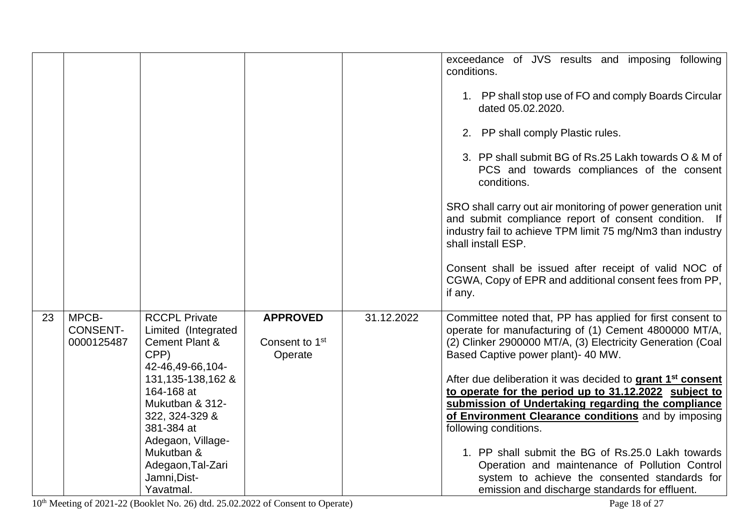|    |                 |                                   |                            |            | exceedance of JVS results and imposing following                       |
|----|-----------------|-----------------------------------|----------------------------|------------|------------------------------------------------------------------------|
|    |                 |                                   |                            |            | conditions.                                                            |
|    |                 |                                   |                            |            |                                                                        |
|    |                 |                                   |                            |            | 1. PP shall stop use of FO and comply Boards Circular                  |
|    |                 |                                   |                            |            | dated 05.02.2020.                                                      |
|    |                 |                                   |                            |            |                                                                        |
|    |                 |                                   |                            |            | 2. PP shall comply Plastic rules.                                      |
|    |                 |                                   |                            |            |                                                                        |
|    |                 |                                   |                            |            | 3. PP shall submit BG of Rs.25 Lakh towards O & M of                   |
|    |                 |                                   |                            |            | PCS and towards compliances of the consent                             |
|    |                 |                                   |                            |            | conditions.                                                            |
|    |                 |                                   |                            |            |                                                                        |
|    |                 |                                   |                            |            | SRO shall carry out air monitoring of power generation unit            |
|    |                 |                                   |                            |            | and submit compliance report of consent condition. If                  |
|    |                 |                                   |                            |            | industry fail to achieve TPM limit 75 mg/Nm3 than industry             |
|    |                 |                                   |                            |            | shall install ESP.                                                     |
|    |                 |                                   |                            |            |                                                                        |
|    |                 |                                   |                            |            | Consent shall be issued after receipt of valid NOC of                  |
|    |                 |                                   |                            |            |                                                                        |
|    |                 |                                   |                            |            | CGWA, Copy of EPR and additional consent fees from PP,                 |
|    |                 |                                   |                            |            | if any.                                                                |
| 23 | MPCB-           | <b>RCCPL Private</b>              | <b>APPROVED</b>            | 31.12.2022 | Committee noted that, PP has applied for first consent to              |
|    | <b>CONSENT-</b> | Limited (Integrated               |                            |            |                                                                        |
|    | 0000125487      | <b>Cement Plant &amp;</b>         | Consent to 1 <sup>st</sup> |            | operate for manufacturing of (1) Cement 4800000 MT/A,                  |
|    |                 |                                   |                            |            | (2) Clinker 2900000 MT/A, (3) Electricity Generation (Coal             |
|    |                 | CPP)                              | Operate                    |            | Based Captive power plant) - 40 MW.                                    |
|    |                 | 42-46,49-66,104-                  |                            |            |                                                                        |
|    |                 | 131, 135-138, 162 &<br>164-168 at |                            |            | After due deliberation it was decided to grant 1 <sup>st</sup> consent |
|    |                 | Mukutban & 312-                   |                            |            | to operate for the period up to 31.12.2022 subject to                  |
|    |                 |                                   |                            |            | submission of Undertaking regarding the compliance                     |
|    |                 | 322, 324-329 &                    |                            |            | of Environment Clearance conditions and by imposing                    |
|    |                 | 381-384 at                        |                            |            | following conditions.                                                  |
|    |                 | Adegaon, Village-                 |                            |            |                                                                        |
|    |                 | Mukutban &                        |                            |            | 1. PP shall submit the BG of Rs.25.0 Lakh towards                      |
|    |                 | Adegaon, Tal-Zari                 |                            |            | Operation and maintenance of Pollution Control                         |
|    |                 | Jamni, Dist-                      |                            |            | system to achieve the consented standards for                          |
|    |                 | Yavatmal.                         |                            |            | emission and discharge standards for effluent.                         |

10<sup>th</sup> Meeting of 2021-22 (Booklet No. 26) dtd. 25.02.2022 of Consent to Operate) Page 18 of 27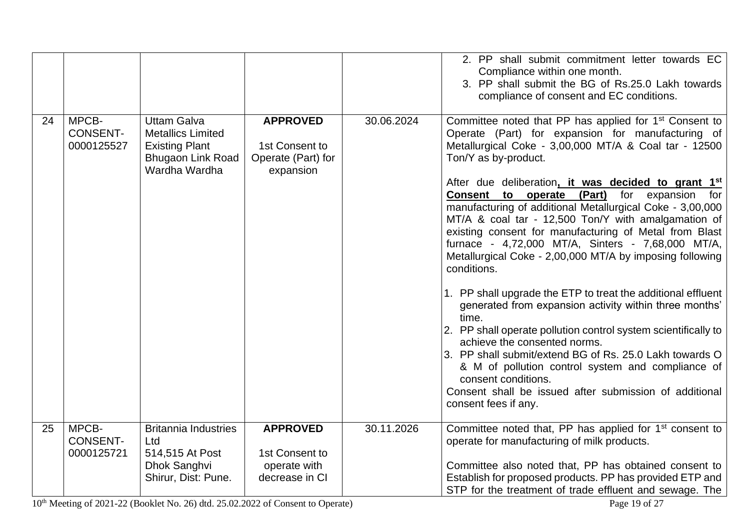|    |                                        |                                                                                                                      |                                                                      |            | 2. PP shall submit commitment letter towards EC<br>Compliance within one month.<br>3. PP shall submit the BG of Rs.25.0 Lakh towards<br>compliance of consent and EC conditions.                                                                                                                                                                                                                                                                                                                                                                                                                                                                                                                                                                                                                                                                                                                                                                                                                                                                                                                             |
|----|----------------------------------------|----------------------------------------------------------------------------------------------------------------------|----------------------------------------------------------------------|------------|--------------------------------------------------------------------------------------------------------------------------------------------------------------------------------------------------------------------------------------------------------------------------------------------------------------------------------------------------------------------------------------------------------------------------------------------------------------------------------------------------------------------------------------------------------------------------------------------------------------------------------------------------------------------------------------------------------------------------------------------------------------------------------------------------------------------------------------------------------------------------------------------------------------------------------------------------------------------------------------------------------------------------------------------------------------------------------------------------------------|
| 24 | MPCB-<br><b>CONSENT-</b><br>0000125527 | <b>Uttam Galva</b><br><b>Metallics Limited</b><br><b>Existing Plant</b><br><b>Bhugaon Link Road</b><br>Wardha Wardha | <b>APPROVED</b><br>1st Consent to<br>Operate (Part) for<br>expansion | 30.06.2024 | Committee noted that PP has applied for 1 <sup>st</sup> Consent to<br>Operate (Part) for expansion for manufacturing of<br>Metallurgical Coke - 3,00,000 MT/A & Coal tar - 12500<br>Ton/Y as by-product.<br>After due deliberation, it was decided to grant 1 <sup>st</sup><br>Consent to operate (Part)<br>for<br>expansion for<br>manufacturing of additional Metallurgical Coke - 3,00,000<br>MT/A & coal tar - 12,500 Ton/Y with amalgamation of<br>existing consent for manufacturing of Metal from Blast<br>furnace - 4,72,000 MT/A, Sinters - 7,68,000 MT/A,<br>Metallurgical Coke - 2,00,000 MT/A by imposing following<br>conditions.<br>1. PP shall upgrade the ETP to treat the additional effluent<br>generated from expansion activity within three months'<br>time.<br>2. PP shall operate pollution control system scientifically to<br>achieve the consented norms.<br>3. PP shall submit/extend BG of Rs. 25.0 Lakh towards O<br>& M of pollution control system and compliance of<br>consent conditions.<br>Consent shall be issued after submission of additional<br>consent fees if any. |
| 25 | MPCB-<br><b>CONSENT-</b><br>0000125721 | <b>Britannia Industries</b><br>Ltd<br>514,515 At Post<br>Dhok Sanghvi<br>Shirur, Dist: Pune.                         | <b>APPROVED</b><br>1st Consent to<br>operate with<br>decrease in CI  | 30.11.2026 | Committee noted that, PP has applied for 1 <sup>st</sup> consent to<br>operate for manufacturing of milk products.<br>Committee also noted that, PP has obtained consent to<br>Establish for proposed products. PP has provided ETP and<br>STP for the treatment of trade effluent and sewage. The                                                                                                                                                                                                                                                                                                                                                                                                                                                                                                                                                                                                                                                                                                                                                                                                           |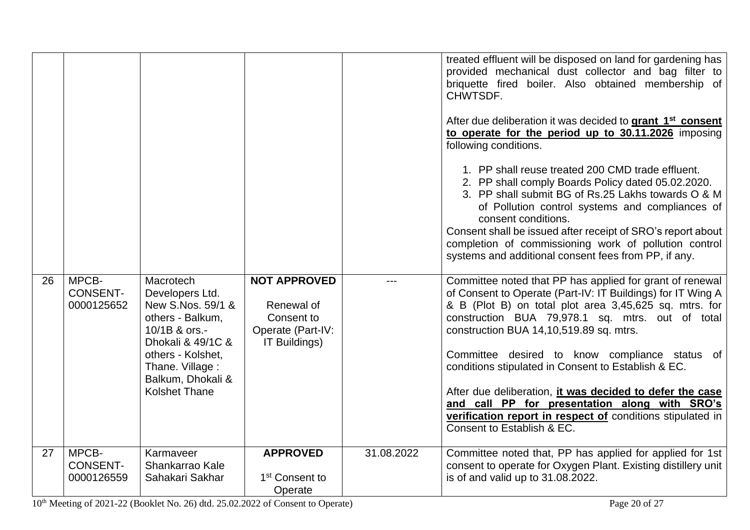| 26 | MPCB-<br><b>CONSENT-</b><br>0000125652 | Macrotech<br>Developers Ltd.<br>New S.Nos. 59/1 &<br>others - Balkum,<br>10/1B & ors.-<br>Dhokali & 49/1C &<br>others - Kolshet,<br>Thane. Village:<br>Balkum, Dhokali &<br><b>Kolshet Thane</b> | <b>NOT APPROVED</b><br>Renewal of<br>Consent to<br>Operate (Part-IV:<br>IT Buildings) |            | treated effluent will be disposed on land for gardening has<br>provided mechanical dust collector and bag filter to<br>briquette fired boiler. Also obtained membership of<br>CHWTSDF.<br>After due deliberation it was decided to grant 1 <sup>st</sup> consent<br>to operate for the period up to 30.11.2026 imposing<br>following conditions.<br>1. PP shall reuse treated 200 CMD trade effluent.<br>2. PP shall comply Boards Policy dated 05.02.2020.<br>3. PP shall submit BG of Rs.25 Lakhs towards O & M<br>of Pollution control systems and compliances of<br>consent conditions.<br>Consent shall be issued after receipt of SRO's report about<br>completion of commissioning work of pollution control<br>systems and additional consent fees from PP, if any.<br>Committee noted that PP has applied for grant of renewal<br>of Consent to Operate (Part-IV: IT Buildings) for IT Wing A<br>& B (Plot B) on total plot area 3,45,625 sq. mtrs. for<br>construction BUA 79,978.1 sq. mtrs. out of total<br>construction BUA 14,10,519.89 sq. mtrs.<br>Committee desired to know compliance status of<br>conditions stipulated in Consent to Establish & EC.<br>After due deliberation, it was decided to defer the case<br>and call PP for presentation along with SRO's<br>verification report in respect of conditions stipulated in |
|----|----------------------------------------|--------------------------------------------------------------------------------------------------------------------------------------------------------------------------------------------------|---------------------------------------------------------------------------------------|------------|-----------------------------------------------------------------------------------------------------------------------------------------------------------------------------------------------------------------------------------------------------------------------------------------------------------------------------------------------------------------------------------------------------------------------------------------------------------------------------------------------------------------------------------------------------------------------------------------------------------------------------------------------------------------------------------------------------------------------------------------------------------------------------------------------------------------------------------------------------------------------------------------------------------------------------------------------------------------------------------------------------------------------------------------------------------------------------------------------------------------------------------------------------------------------------------------------------------------------------------------------------------------------------------------------------------------------------------------------------|
|    |                                        |                                                                                                                                                                                                  |                                                                                       |            | Consent to Establish & EC.                                                                                                                                                                                                                                                                                                                                                                                                                                                                                                                                                                                                                                                                                                                                                                                                                                                                                                                                                                                                                                                                                                                                                                                                                                                                                                                          |
| 27 | MPCB-<br><b>CONSENT-</b><br>0000126559 | Karmaveer<br>Shankarrao Kale<br>Sahakari Sakhar                                                                                                                                                  | <b>APPROVED</b><br>1 <sup>st</sup> Consent to<br>Operate                              | 31.08.2022 | Committee noted that, PP has applied for applied for 1st<br>consent to operate for Oxygen Plant. Existing distillery unit<br>is of and valid up to 31.08.2022.                                                                                                                                                                                                                                                                                                                                                                                                                                                                                                                                                                                                                                                                                                                                                                                                                                                                                                                                                                                                                                                                                                                                                                                      |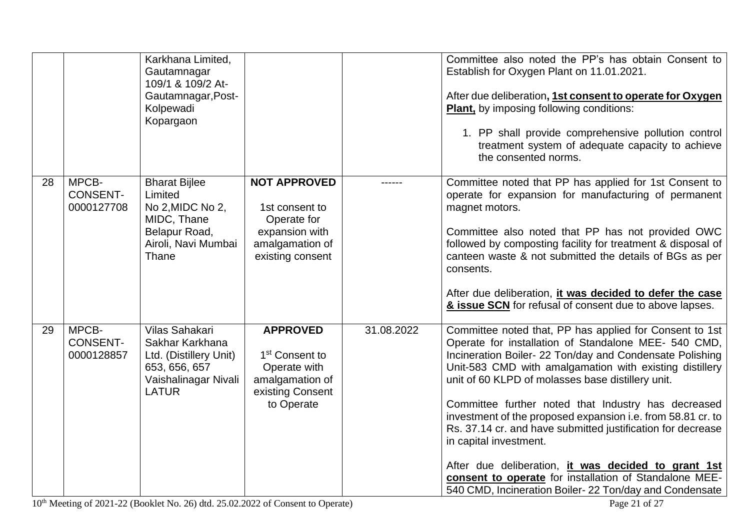|    |                                        | Karkhana Limited,<br>Gautamnagar<br>109/1 & 109/2 At-<br>Gautamnagar, Post-<br>Kolpewadi<br>Kopargaon                |                                                                                                                    |            | Committee also noted the PP's has obtain Consent to<br>Establish for Oxygen Plant on 11.01.2021.<br>After due deliberation, 1st consent to operate for Oxygen<br>Plant, by imposing following conditions:<br>1. PP shall provide comprehensive pollution control<br>treatment system of adequate capacity to achieve<br>the consented norms.                                                                                                                                                                                                                                                                                                                                         |
|----|----------------------------------------|----------------------------------------------------------------------------------------------------------------------|--------------------------------------------------------------------------------------------------------------------|------------|--------------------------------------------------------------------------------------------------------------------------------------------------------------------------------------------------------------------------------------------------------------------------------------------------------------------------------------------------------------------------------------------------------------------------------------------------------------------------------------------------------------------------------------------------------------------------------------------------------------------------------------------------------------------------------------|
| 28 | MPCB-<br><b>CONSENT-</b><br>0000127708 | <b>Bharat Bijlee</b><br>Limited<br>No 2, MIDC No 2,<br>MIDC, Thane<br>Belapur Road,<br>Airoli, Navi Mumbai<br>Thane  | <b>NOT APPROVED</b><br>1st consent to<br>Operate for<br>expansion with<br>amalgamation of<br>existing consent      |            | Committee noted that PP has applied for 1st Consent to<br>operate for expansion for manufacturing of permanent<br>magnet motors.<br>Committee also noted that PP has not provided OWC<br>followed by composting facility for treatment & disposal of<br>canteen waste & not submitted the details of BGs as per<br>consents.<br>After due deliberation, it was decided to defer the case<br>& issue SCN for refusal of consent due to above lapses.                                                                                                                                                                                                                                  |
| 29 | MPCB-<br><b>CONSENT-</b><br>0000128857 | Vilas Sahakari<br>Sakhar Karkhana<br>Ltd. (Distillery Unit)<br>653, 656, 657<br>Vaishalinagar Nivali<br><b>LATUR</b> | <b>APPROVED</b><br>1 <sup>st</sup> Consent to<br>Operate with<br>amalgamation of<br>existing Consent<br>to Operate | 31.08.2022 | Committee noted that, PP has applied for Consent to 1st<br>Operate for installation of Standalone MEE- 540 CMD,<br>Incineration Boiler-22 Ton/day and Condensate Polishing<br>Unit-583 CMD with amalgamation with existing distillery<br>unit of 60 KLPD of molasses base distillery unit.<br>Committee further noted that Industry has decreased<br>investment of the proposed expansion i.e. from 58.81 cr. to<br>Rs. 37.14 cr. and have submitted justification for decrease<br>in capital investment.<br>After due deliberation, it was decided to grant 1st<br>consent to operate for installation of Standalone MEE-<br>540 CMD, Incineration Boiler-22 Ton/day and Condensate |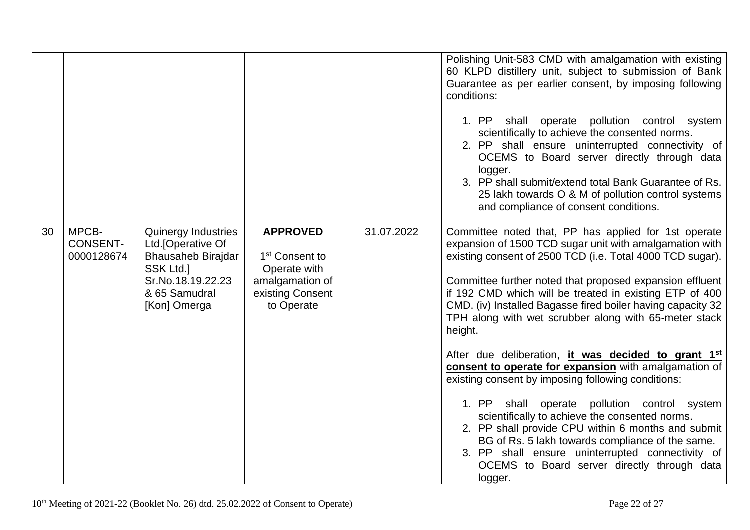|    |                                        |                                                                                                                                                  |                                                                                                                    |            | Polishing Unit-583 CMD with amalgamation with existing<br>60 KLPD distillery unit, subject to submission of Bank<br>Guarantee as per earlier consent, by imposing following<br>conditions:<br>shall operate pollution control system<br>1. PP<br>scientifically to achieve the consented norms.<br>2. PP shall ensure uninterrupted connectivity of<br>OCEMS to Board server directly through data<br>logger.<br>3. PP shall submit/extend total Bank Guarantee of Rs.<br>25 lakh towards O & M of pollution control systems<br>and compliance of consent conditions.                                                                                                                                                                                                                                                                                                                                                                                 |
|----|----------------------------------------|--------------------------------------------------------------------------------------------------------------------------------------------------|--------------------------------------------------------------------------------------------------------------------|------------|-------------------------------------------------------------------------------------------------------------------------------------------------------------------------------------------------------------------------------------------------------------------------------------------------------------------------------------------------------------------------------------------------------------------------------------------------------------------------------------------------------------------------------------------------------------------------------------------------------------------------------------------------------------------------------------------------------------------------------------------------------------------------------------------------------------------------------------------------------------------------------------------------------------------------------------------------------|
| 30 | MPCB-<br><b>CONSENT-</b><br>0000128674 | <b>Quinergy Industries</b><br>Ltd. [Operative Of<br><b>Bhausaheb Birajdar</b><br>SSK Ltd.]<br>Sr.No.18.19.22.23<br>& 65 Samudral<br>[Kon] Omerga | <b>APPROVED</b><br>1 <sup>st</sup> Consent to<br>Operate with<br>amalgamation of<br>existing Consent<br>to Operate | 31.07.2022 | Committee noted that, PP has applied for 1st operate<br>expansion of 1500 TCD sugar unit with amalgamation with<br>existing consent of 2500 TCD (i.e. Total 4000 TCD sugar).<br>Committee further noted that proposed expansion effluent<br>if 192 CMD which will be treated in existing ETP of 400<br>CMD. (iv) Installed Bagasse fired boiler having capacity 32<br>TPH along with wet scrubber along with 65-meter stack<br>height.<br>After due deliberation, it was decided to grant 1 <sup>st</sup><br>consent to operate for expansion with amalgamation of<br>existing consent by imposing following conditions:<br>1. PP<br>shall operate pollution control system<br>scientifically to achieve the consented norms.<br>2. PP shall provide CPU within 6 months and submit<br>BG of Rs. 5 lakh towards compliance of the same.<br>3. PP shall ensure uninterrupted connectivity of<br>OCEMS to Board server directly through data<br>logger. |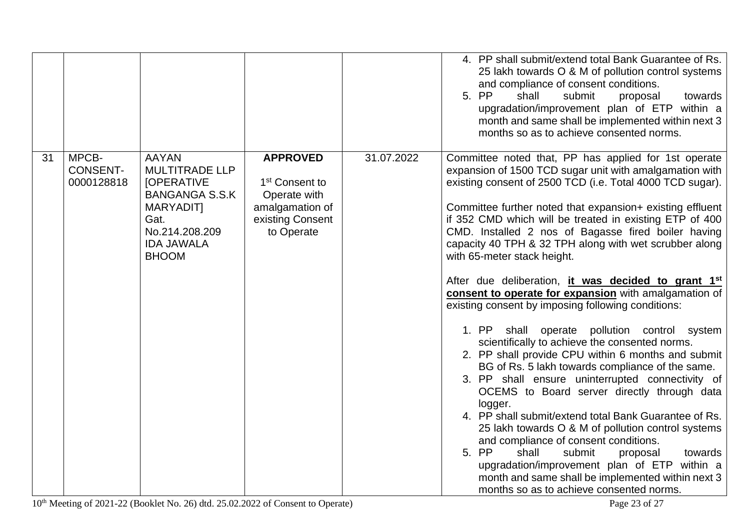|    |                                        |                                                                                                                                                                 |                                                                                                                    |            | 4. PP shall submit/extend total Bank Guarantee of Rs.<br>25 lakh towards O & M of pollution control systems<br>and compliance of consent conditions.<br>5. PP<br>shall<br>submit<br>proposal<br>towards<br>upgradation/improvement plan of ETP within a<br>month and same shall be implemented within next 3<br>months so as to achieve consented norms.                                                                                                                                                                                                                                                                                                                                                                                                                                                                                                                                                                                                                                                                                                                                                                                                                                                                                                                                                                     |
|----|----------------------------------------|-----------------------------------------------------------------------------------------------------------------------------------------------------------------|--------------------------------------------------------------------------------------------------------------------|------------|------------------------------------------------------------------------------------------------------------------------------------------------------------------------------------------------------------------------------------------------------------------------------------------------------------------------------------------------------------------------------------------------------------------------------------------------------------------------------------------------------------------------------------------------------------------------------------------------------------------------------------------------------------------------------------------------------------------------------------------------------------------------------------------------------------------------------------------------------------------------------------------------------------------------------------------------------------------------------------------------------------------------------------------------------------------------------------------------------------------------------------------------------------------------------------------------------------------------------------------------------------------------------------------------------------------------------|
| 31 | MPCB-<br><b>CONSENT-</b><br>0000128818 | <b>AAYAN</b><br><b>MULTITRADE LLP</b><br><b>[OPERATIVE</b><br><b>BANGANGA S.S.K</b><br>MARYADIT]<br>Gat.<br>No.214.208.209<br><b>IDA JAWALA</b><br><b>BHOOM</b> | <b>APPROVED</b><br>1 <sup>st</sup> Consent to<br>Operate with<br>amalgamation of<br>existing Consent<br>to Operate | 31.07.2022 | Committee noted that, PP has applied for 1st operate<br>expansion of 1500 TCD sugar unit with amalgamation with<br>existing consent of 2500 TCD (i.e. Total 4000 TCD sugar).<br>Committee further noted that expansion+ existing effluent<br>if 352 CMD which will be treated in existing ETP of 400<br>CMD. Installed 2 nos of Bagasse fired boiler having<br>capacity 40 TPH & 32 TPH along with wet scrubber along<br>with 65-meter stack height.<br>After due deliberation, it was decided to grant 1 <sup>st</sup><br>consent to operate for expansion with amalgamation of<br>existing consent by imposing following conditions:<br>1. PP shall operate pollution control system<br>scientifically to achieve the consented norms.<br>2. PP shall provide CPU within 6 months and submit<br>BG of Rs. 5 lakh towards compliance of the same.<br>3. PP shall ensure uninterrupted connectivity of<br>OCEMS to Board server directly through data<br>logger.<br>4. PP shall submit/extend total Bank Guarantee of Rs.<br>25 lakh towards O & M of pollution control systems<br>and compliance of consent conditions.<br>5. PP<br>shall<br>submit<br>proposal<br>towards<br>upgradation/improvement plan of ETP within a<br>month and same shall be implemented within next 3<br>months so as to achieve consented norms. |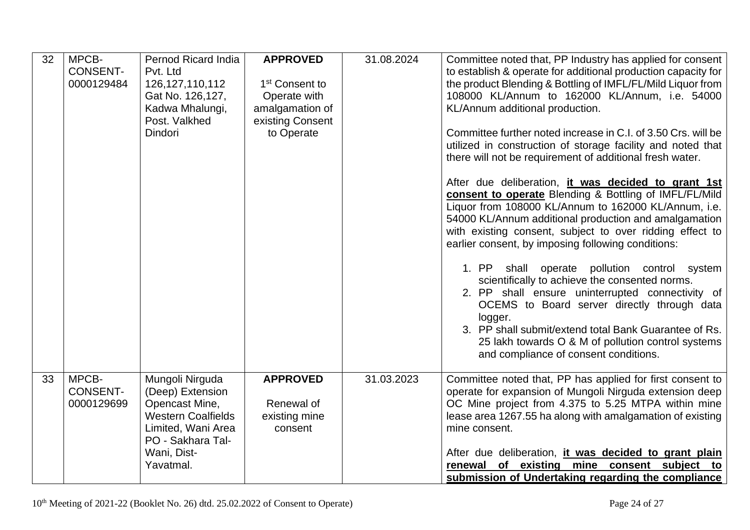| 32 | MPCB-<br><b>CONSENT-</b><br>0000129484 | Pernod Ricard India<br>Pvt. Ltd<br>126, 127, 110, 112<br>Gat No. 126,127,<br>Kadwa Mhalungi,<br>Post. Valkhed<br><b>Dindori</b>                           | <b>APPROVED</b><br>1 <sup>st</sup> Consent to<br>Operate with<br>amalgamation of<br>existing Consent<br>to Operate | 31.08.2024 | Committee noted that, PP Industry has applied for consent<br>to establish & operate for additional production capacity for<br>the product Blending & Bottling of IMFL/FL/Mild Liquor from<br>108000 KL/Annum to 162000 KL/Annum, i.e. 54000<br>KL/Annum additional production.<br>Committee further noted increase in C.I. of 3.50 Crs. will be<br>utilized in construction of storage facility and noted that<br>there will not be requirement of additional fresh water. |
|----|----------------------------------------|-----------------------------------------------------------------------------------------------------------------------------------------------------------|--------------------------------------------------------------------------------------------------------------------|------------|----------------------------------------------------------------------------------------------------------------------------------------------------------------------------------------------------------------------------------------------------------------------------------------------------------------------------------------------------------------------------------------------------------------------------------------------------------------------------|
|    |                                        |                                                                                                                                                           |                                                                                                                    |            | After due deliberation, it was decided to grant 1st<br>consent to operate Blending & Bottling of IMFL/FL/Mild<br>Liquor from 108000 KL/Annum to 162000 KL/Annum, i.e.<br>54000 KL/Annum additional production and amalgamation<br>with existing consent, subject to over ridding effect to<br>earlier consent, by imposing following conditions:                                                                                                                           |
|    |                                        |                                                                                                                                                           |                                                                                                                    |            | 1. PP shall operate pollution control system<br>scientifically to achieve the consented norms.<br>2. PP shall ensure uninterrupted connectivity of<br>OCEMS to Board server directly through data<br>logger.<br>3. PP shall submit/extend total Bank Guarantee of Rs.<br>25 lakh towards O & M of pollution control systems<br>and compliance of consent conditions.                                                                                                       |
| 33 | MPCB-<br><b>CONSENT-</b><br>0000129699 | Mungoli Nirguda<br>(Deep) Extension<br>Opencast Mine,<br><b>Western Coalfields</b><br>Limited, Wani Area<br>PO - Sakhara Tal-<br>Wani, Dist-<br>Yavatmal. | <b>APPROVED</b><br>Renewal of<br>existing mine<br>consent                                                          | 31.03.2023 | Committee noted that, PP has applied for first consent to<br>operate for expansion of Mungoli Nirguda extension deep<br>OC Mine project from 4.375 to 5.25 MTPA within mine<br>lease area 1267.55 ha along with amalgamation of existing<br>mine consent.<br>After due deliberation, it was decided to grant plain<br>renewal of existing mine consent subject to<br>submission of Undertaking regarding the compliance                                                    |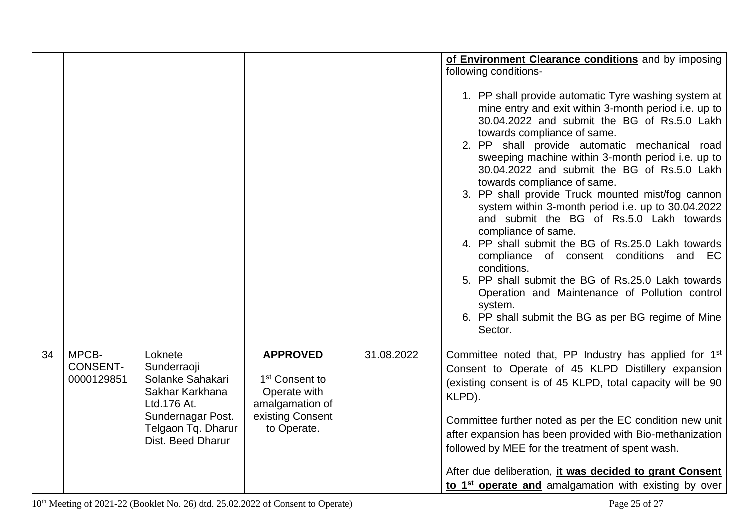|    |                               |                                                                                                                                   |                                                                                                  |            | of Environment Clearance conditions and by imposing<br>following conditions-<br>1. PP shall provide automatic Tyre washing system at<br>mine entry and exit within 3-month period i.e. up to<br>30.04.2022 and submit the BG of Rs.5.0 Lakh<br>towards compliance of same.<br>2. PP shall provide automatic mechanical road<br>sweeping machine within 3-month period i.e. up to<br>30.04.2022 and submit the BG of Rs.5.0 Lakh<br>towards compliance of same.<br>3. PP shall provide Truck mounted mist/fog cannon<br>system within 3-month period i.e. up to 30.04.2022<br>and submit the BG of Rs.5.0 Lakh towards<br>compliance of same.<br>4. PP shall submit the BG of Rs.25.0 Lakh towards<br>compliance of consent conditions and EC<br>conditions.<br>5. PP shall submit the BG of Rs.25.0 Lakh towards<br>Operation and Maintenance of Pollution control<br>system.<br>6. PP shall submit the BG as per BG regime of Mine |
|----|-------------------------------|-----------------------------------------------------------------------------------------------------------------------------------|--------------------------------------------------------------------------------------------------|------------|-------------------------------------------------------------------------------------------------------------------------------------------------------------------------------------------------------------------------------------------------------------------------------------------------------------------------------------------------------------------------------------------------------------------------------------------------------------------------------------------------------------------------------------------------------------------------------------------------------------------------------------------------------------------------------------------------------------------------------------------------------------------------------------------------------------------------------------------------------------------------------------------------------------------------------------|
| 34 | MPCB-                         | Loknete                                                                                                                           | <b>APPROVED</b>                                                                                  | 31.08.2022 | Sector.<br>Committee noted that, PP Industry has applied for 1 <sup>st</sup>                                                                                                                                                                                                                                                                                                                                                                                                                                                                                                                                                                                                                                                                                                                                                                                                                                                        |
|    | <b>CONSENT-</b><br>0000129851 | Sunderraoji<br>Solanke Sahakari<br>Sakhar Karkhana<br>Ltd.176 At.<br>Sundernagar Post.<br>Telgaon Tq. Dharur<br>Dist. Beed Dharur | 1 <sup>st</sup> Consent to<br>Operate with<br>amalgamation of<br>existing Consent<br>to Operate. |            | Consent to Operate of 45 KLPD Distillery expansion<br>(existing consent is of 45 KLPD, total capacity will be 90<br>KLPD).<br>Committee further noted as per the EC condition new unit<br>after expansion has been provided with Bio-methanization<br>followed by MEE for the treatment of spent wash.<br>After due deliberation, it was decided to grant Consent<br>to 1 <sup>st</sup> operate and amalgamation with existing by over                                                                                                                                                                                                                                                                                                                                                                                                                                                                                              |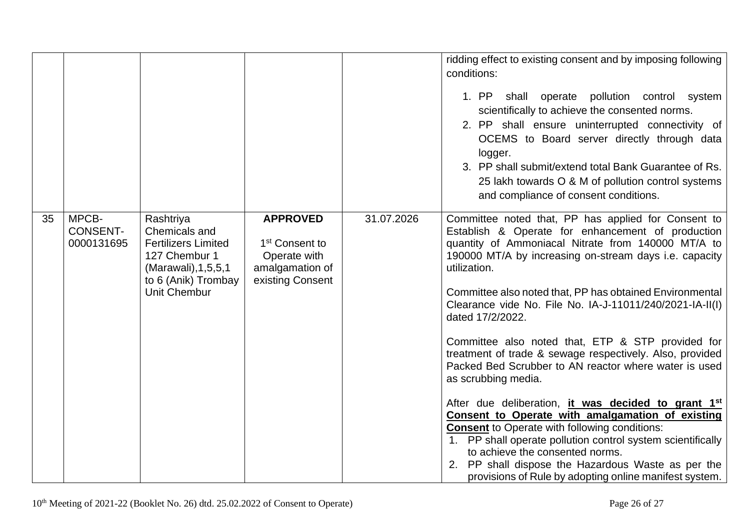|    |                                        |                                                                                                                                            |                                                                                                      |            | ridding effect to existing consent and by imposing following<br>conditions:<br>1. PP<br>shall operate pollution control system<br>scientifically to achieve the consented norms.<br>2. PP shall ensure uninterrupted connectivity of<br>OCEMS to Board server directly through data<br>logger.<br>3. PP shall submit/extend total Bank Guarantee of Rs.<br>25 lakh towards O & M of pollution control systems<br>and compliance of consent conditions.                                                                                                                                                                                                                                                                                                                                                                                                                                                                                                                                 |
|----|----------------------------------------|--------------------------------------------------------------------------------------------------------------------------------------------|------------------------------------------------------------------------------------------------------|------------|----------------------------------------------------------------------------------------------------------------------------------------------------------------------------------------------------------------------------------------------------------------------------------------------------------------------------------------------------------------------------------------------------------------------------------------------------------------------------------------------------------------------------------------------------------------------------------------------------------------------------------------------------------------------------------------------------------------------------------------------------------------------------------------------------------------------------------------------------------------------------------------------------------------------------------------------------------------------------------------|
| 35 | MPCB-<br><b>CONSENT-</b><br>0000131695 | Rashtriya<br>Chemicals and<br><b>Fertilizers Limited</b><br>127 Chembur 1<br>(Marawali), 1, 5, 5, 1<br>to 6 (Anik) Trombay<br>Unit Chembur | <b>APPROVED</b><br>1 <sup>st</sup> Consent to<br>Operate with<br>amalgamation of<br>existing Consent | 31.07.2026 | Committee noted that, PP has applied for Consent to<br>Establish & Operate for enhancement of production<br>quantity of Ammoniacal Nitrate from 140000 MT/A to<br>190000 MT/A by increasing on-stream days i.e. capacity<br>utilization.<br>Committee also noted that, PP has obtained Environmental<br>Clearance vide No. File No. IA-J-11011/240/2021-IA-II(I)<br>dated 17/2/2022.<br>Committee also noted that, ETP & STP provided for<br>treatment of trade & sewage respectively. Also, provided<br>Packed Bed Scrubber to AN reactor where water is used<br>as scrubbing media.<br>After due deliberation, it was decided to grant 1 <sup>st</sup><br>Consent to Operate with amalgamation of existing<br><b>Consent to Operate with following conditions:</b><br>1. PP shall operate pollution control system scientifically<br>to achieve the consented norms.<br>2. PP shall dispose the Hazardous Waste as per the<br>provisions of Rule by adopting online manifest system. |